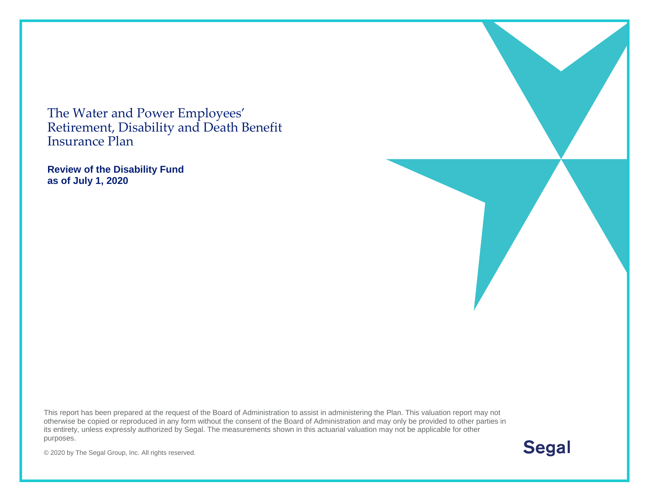The Water and Power Employees' Retirement, Disability and Death Benefit Insurance Plan

**Review of the Disability Fund as of July 1, 2020**

This report has been prepared at the request of the Board of Administration to assist in administering the Plan. This valuation report may not otherwise be copied or reproduced in any form without the consent of the Board of Administration and may only be provided to other parties in its entirety, unless expressly authorized by Segal. The measurements shown in this actuarial valuation may not be applicable for other purposes.

**Segal** 

© 2020 by The Segal Group, Inc. All rights reserved.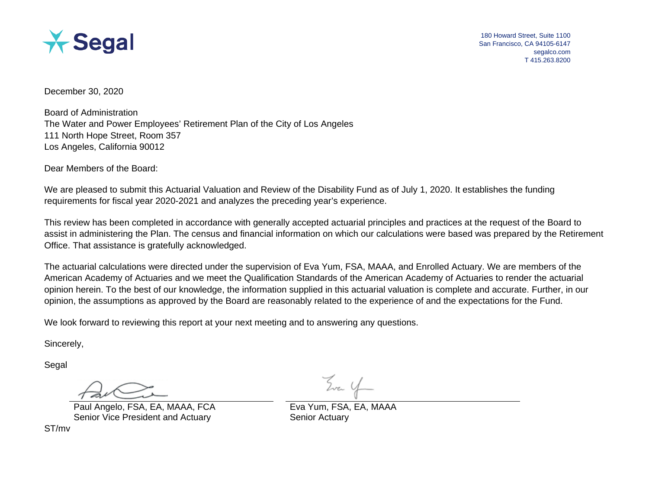

December 30, 2020

Board of Administration The Water and Power Employees' Retirement Plan of the City of Los Angeles 111 North Hope Street, Room 357 Los Angeles, California 90012

Dear Members of the Board:

We are pleased to submit this Actuarial Valuation and Review of the Disability Fund as of July 1, 2020. It establishes the funding requirements for fiscal year 2020-2021 and analyzes the preceding year's experience.

This review has been completed in accordance with generally accepted actuarial principles and practices at the request of the Board to assist in administering the Plan. The census and financial information on which our calculations were based was prepared by the Retirement Office. That assistance is gratefully acknowledged.

The actuarial calculations were directed under the supervision of Eva Yum, FSA, MAAA, and Enrolled Actuary. We are members of the American Academy of Actuaries and we meet the Qualification Standards of the American Academy of Actuaries to render the actuarial opinion herein. To the best of our knowledge, the information supplied in this actuarial valuation is complete and accurate. Further, in our opinion, the assumptions as approved by the Board are reasonably related to the experience of and the expectations for the Fund.

We look forward to reviewing this report at your next meeting and to answering any questions.

Sincerely,

Segal

Paul Angelo, FSA, EA, MAAA, FCA Eva Yum, FSA, EA, MAAA Senior Vice President and Actuary Senior Actuary Senior Actuary

ST/mv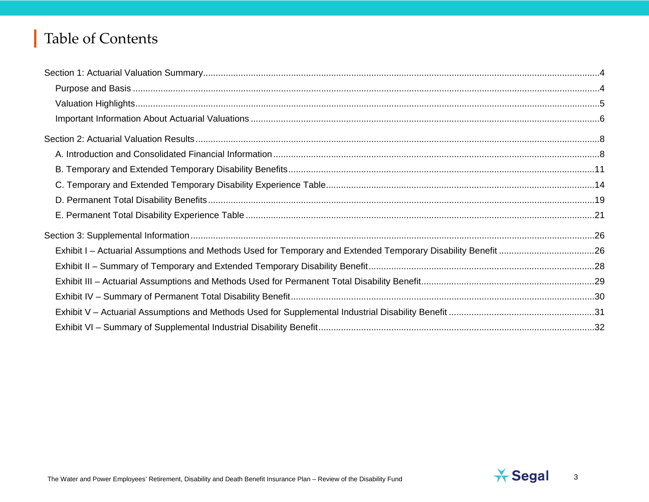# Table of Contents

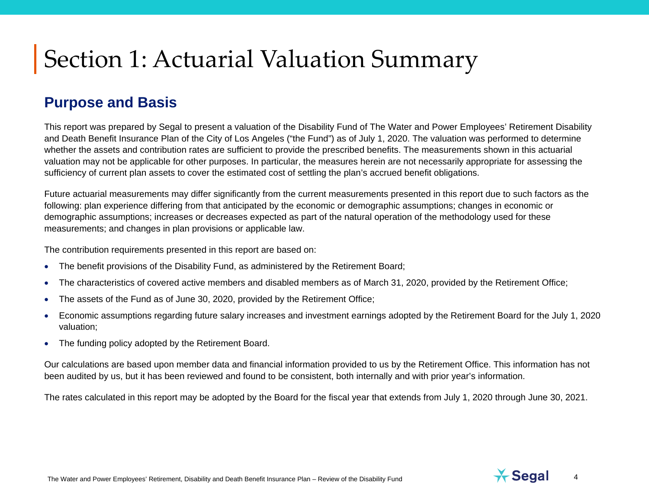### **Purpose and Basis**

This report was prepared by Segal to present a valuation of the Disability Fund of The Water and Power Employees' Retirement Disability and Death Benefit Insurance Plan of the City of Los Angeles ("the Fund") as of July 1, 2020. The valuation was performed to determine whether the assets and contribution rates are sufficient to provide the prescribed benefits. The measurements shown in this actuarial valuation may not be applicable for other purposes. In particular, the measures herein are not necessarily appropriate for assessing the sufficiency of current plan assets to cover the estimated cost of settling the plan's accrued benefit obligations.

Future actuarial measurements may differ significantly from the current measurements presented in this report due to such factors as the following: plan experience differing from that anticipated by the economic or demographic assumptions; changes in economic or demographic assumptions; increases or decreases expected as part of the natural operation of the methodology used for these measurements; and changes in plan provisions or applicable law.

The contribution requirements presented in this report are based on:

- The benefit provisions of the Disability Fund, as administered by the Retirement Board;
- The characteristics of covered active members and disabled members as of March 31, 2020, provided by the Retirement Office;
- The assets of the Fund as of June 30, 2020, provided by the Retirement Office;
- Economic assumptions regarding future salary increases and investment earnings adopted by the Retirement Board for the July 1, 2020 valuation;
- The funding policy adopted by the Retirement Board.

Our calculations are based upon member data and financial information provided to us by the Retirement Office. This information has not been audited by us, but it has been reviewed and found to be consistent, both internally and with prior year's information.

The rates calculated in this report may be adopted by the Board for the fiscal year that extends from July 1, 2020 through June 30, 2021.

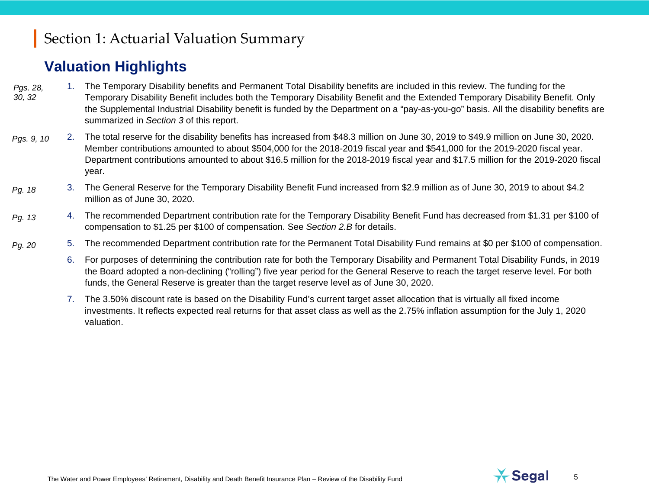# **Valuation Highlights**

- 1. The Temporary Disability benefits and Permanent Total Disability benefits are included in this review. The funding for the Temporary Disability Benefit includes both the Temporary Disability Benefit and the Extended Temporary Disability Benefit. Only the Supplemental Industrial Disability benefit is funded by the Department on a "pay-as-you-go" basis. All the disability benefits are summarized in *Section 3* of this report. *Pgs. 28, 30, 32*
- 2. The total reserve for the disability benefits has increased from \$48.3 million on June 30, 2019 to \$49.9 million on June 30, 2020. Member contributions amounted to about \$504,000 for the 2018-2019 fiscal year and \$541,000 for the 2019-2020 fiscal year. Department contributions amounted to about \$16.5 million for the 2018-2019 fiscal year and \$17.5 million for the 2019-2020 fiscal year. *Pgs. 9, 10*
- 3. The General Reserve for the Temporary Disability Benefit Fund increased from \$2.9 million as of June 30, 2019 to about \$4.2 million as of June 30, 2020. *Pg. 18*
- 4. The recommended Department contribution rate for the Temporary Disability Benefit Fund has decreased from \$1.31 per \$100 of compensation to \$1.25 per \$100 of compensation. See *Section 2.B* for details. *Pg. [13](#page-12-0)*
- 5. The recommended Department contribution rate for the Permanent Total Disability Fund remains at \$0 per \$100 of compensation. *Pg. [20](#page-19-0)*
	- 6. For purposes of determining the contribution rate for both the Temporary Disability and Permanent Total Disability Funds, in 2019 the Board adopted a non-declining ("rolling") five year period for the General Reserve to reach the target reserve level. For both funds, the General Reserve is greater than the target reserve level as of June 30, 2020.
	- 7. The 3.50% discount rate is based on the Disability Fund's current target asset allocation that is virtually all fixed income investments. It reflects expected real returns for that asset class as well as the 2.75% inflation assumption for the July 1, 2020 valuation.



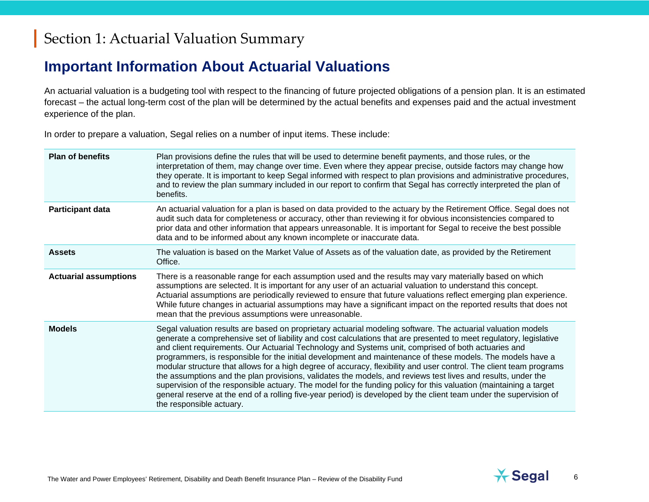## **Important Information About Actuarial Valuations**

An actuarial valuation is a budgeting tool with respect to the financing of future projected obligations of a pension plan. It is an estimated forecast – the actual long-term cost of the plan will be determined by the actual benefits and expenses paid and the actual investment experience of the plan.

In order to prepare a valuation, Segal relies on a number of input items. These include:

| <b>Plan of benefits</b>      | Plan provisions define the rules that will be used to determine benefit payments, and those rules, or the<br>interpretation of them, may change over time. Even where they appear precise, outside factors may change how<br>they operate. It is important to keep Segal informed with respect to plan provisions and administrative procedures,<br>and to review the plan summary included in our report to confirm that Segal has correctly interpreted the plan of<br>benefits.                                                                                                                                                                                                                                                                                                                                                                                                                                                                                    |
|------------------------------|-----------------------------------------------------------------------------------------------------------------------------------------------------------------------------------------------------------------------------------------------------------------------------------------------------------------------------------------------------------------------------------------------------------------------------------------------------------------------------------------------------------------------------------------------------------------------------------------------------------------------------------------------------------------------------------------------------------------------------------------------------------------------------------------------------------------------------------------------------------------------------------------------------------------------------------------------------------------------|
| <b>Participant data</b>      | An actuarial valuation for a plan is based on data provided to the actuary by the Retirement Office. Segal does not<br>audit such data for completeness or accuracy, other than reviewing it for obvious inconsistencies compared to<br>prior data and other information that appears unreasonable. It is important for Segal to receive the best possible<br>data and to be informed about any known incomplete or inaccurate data.                                                                                                                                                                                                                                                                                                                                                                                                                                                                                                                                  |
| <b>Assets</b>                | The valuation is based on the Market Value of Assets as of the valuation date, as provided by the Retirement<br>Office.                                                                                                                                                                                                                                                                                                                                                                                                                                                                                                                                                                                                                                                                                                                                                                                                                                               |
| <b>Actuarial assumptions</b> | There is a reasonable range for each assumption used and the results may vary materially based on which<br>assumptions are selected. It is important for any user of an actuarial valuation to understand this concept.<br>Actuarial assumptions are periodically reviewed to ensure that future valuations reflect emerging plan experience.<br>While future changes in actuarial assumptions may have a significant impact on the reported results that does not<br>mean that the previous assumptions were unreasonable.                                                                                                                                                                                                                                                                                                                                                                                                                                           |
| <b>Models</b>                | Segal valuation results are based on proprietary actuarial modeling software. The actuarial valuation models<br>generate a comprehensive set of liability and cost calculations that are presented to meet regulatory, legislative<br>and client requirements. Our Actuarial Technology and Systems unit, comprised of both actuaries and<br>programmers, is responsible for the initial development and maintenance of these models. The models have a<br>modular structure that allows for a high degree of accuracy, flexibility and user control. The client team programs<br>the assumptions and the plan provisions, validates the models, and reviews test lives and results, under the<br>supervision of the responsible actuary. The model for the funding policy for this valuation (maintaining a target<br>general reserve at the end of a rolling five-year period) is developed by the client team under the supervision of<br>the responsible actuary. |

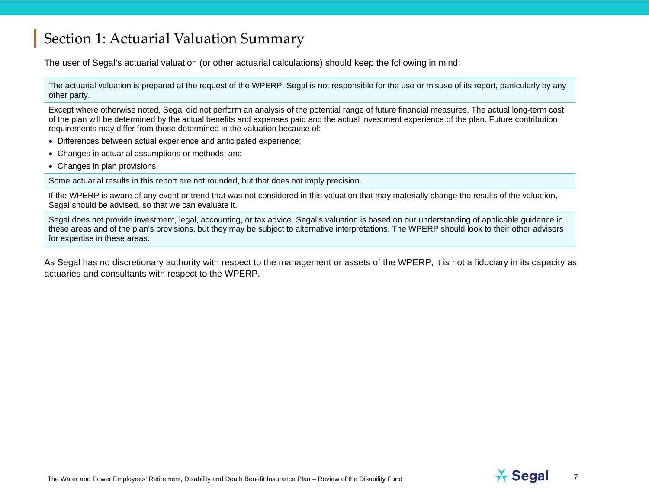The user of Segal's actuarial valuation (or other actuarial calculations) should keep the following in mind:

The actuarial valuation is prepared at the request of the WPERP. Segal is not responsible for the use or misuse of its report, particularly by any other party.

Except where otherwise noted, Segal did not perform an analysis of the potential range of future financial measures. The actual long-term cost of the plan will be determined by the actual benefits and expenses paid and the actual investment experience of the plan. Future contribution requirements may differ from those determined in the valuation because of:

- Differences between actual experience and anticipated experience;
- Changes in actuarial assumptions or methods; and
- Changes in plan provisions.

Some actuarial results in this report are not rounded, but that does not imply precision.

If the WPERP is aware of any event or trend that was not considered in this valuation that may materially change the results of the valuation, Segal should be advised, so that we can evaluate it.

Segal does not provide investment, legal, accounting, or tax advice. Segal's valuation is based on our understanding of applicable guidance in these areas and of the plan's provisions, but they may be subject to alternative interpretations. The WPERP should look to their other advisors for expertise in these areas.

As Segal has no discretionary authority with respect to the management or assets of the WPERP, it is not a fiduciary in its capacity as actuaries and consultants with respect to the WPERP.



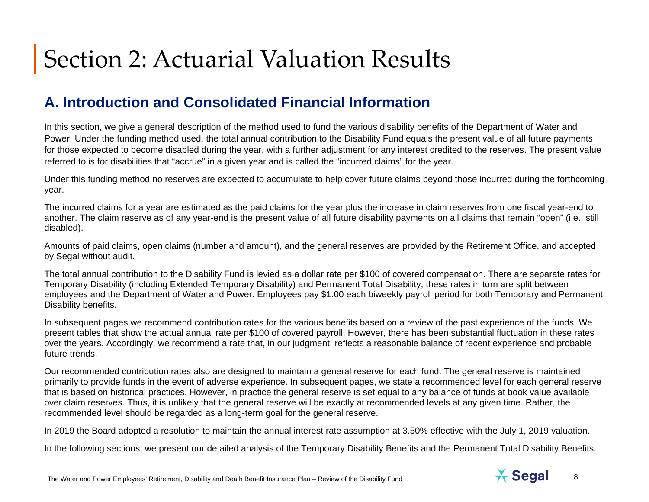# **A. Introduction and Consolidated Financial Information**

In this section, we give a general description of the method used to fund the various disability benefits of the Department of Water and Power. Under the funding method used, the total annual contribution to the Disability Fund equals the present value of all future payments for those expected to become disabled during the year, with a further adjustment for any interest credited to the reserves. The present value referred to is for disabilities that "accrue" in a given year and is called the "incurred claims" for the year.

Under this funding method no reserves are expected to accumulate to help cover future claims beyond those incurred during the forthcoming year.

The incurred claims for a year are estimated as the paid claims for the year plus the increase in claim reserves from one fiscal year-end to another. The claim reserve as of any year-end is the present value of all future disability payments on all claims that remain "open" (i.e., still disabled).

Amounts of paid claims, open claims (number and amount), and the general reserves are provided by the Retirement Office, and accepted by Segal without audit.

The total annual contribution to the Disability Fund is levied as a dollar rate per \$100 of covered compensation. There are separate rates for Temporary Disability (including Extended Temporary Disability) and Permanent Total Disability; these rates in turn are split between employees and the Department of Water and Power. Employees pay \$1.00 each biweekly payroll period for both Temporary and Permanent Disability benefits.

In subsequent pages we recommend contribution rates for the various benefits based on a review of the past experience of the funds. We present tables that show the actual annual rate per \$100 of covered payroll. However, there has been substantial fluctuation in these rates over the years. Accordingly, we recommend a rate that, in our judgment, reflects a reasonable balance of recent experience and probable future trends.

Our recommended contribution rates also are designed to maintain a general reserve for each fund. The general reserve is maintained primarily to provide funds in the event of adverse experience. In subsequent pages, we state a recommended level for each general reserve that is based on historical practices. However, in practice the general reserve is set equal to any balance of funds at book value available over claim reserves. Thus, it is unlikely that the general reserve will be exactly at recommended levels at any given time. Rather, the recommended level should be regarded as a long-term goal for the general reserve.

In 2019 the Board adopted a resolution to maintain the annual interest rate assumption at 3.50% effective with the July 1, 2019 valuation.

In the following sections, we present our detailed analysis of the Temporary Disability Benefits and the Permanent Total Disability Benefits.

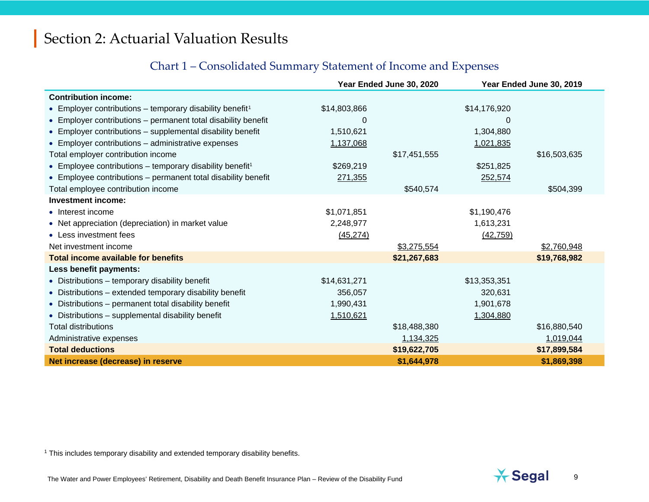#### <span id="page-8-0"></span>Chart 1 – Consolidated Summary Statement of Income and Expenses

|                                                                      |              | Year Ended June 30, 2020 |              | Year Ended June 30, 2019 |
|----------------------------------------------------------------------|--------------|--------------------------|--------------|--------------------------|
| <b>Contribution income:</b>                                          |              |                          |              |                          |
| • Employer contributions – temporary disability benefit <sup>1</sup> | \$14,803,866 |                          | \$14,176,920 |                          |
| • Employer contributions – permanent total disability benefit        | 0            |                          | 0            |                          |
| • Employer contributions - supplemental disability benefit           | 1,510,621    |                          | 1,304,880    |                          |
| • Employer contributions - administrative expenses                   | 1,137,068    |                          | 1,021,835    |                          |
| Total employer contribution income                                   |              | \$17,451,555             |              | \$16,503,635             |
| • Employee contributions - temporary disability benefit <sup>1</sup> | \$269,219    |                          | \$251,825    |                          |
| • Employee contributions – permanent total disability benefit        | 271,355      |                          | 252,574      |                          |
| Total employee contribution income                                   |              | \$540,574                |              | \$504,399                |
| <b>Investment income:</b>                                            |              |                          |              |                          |
| • Interest income                                                    | \$1,071,851  |                          | \$1,190,476  |                          |
| • Net appreciation (depreciation) in market value                    | 2,248,977    |                          | 1,613,231    |                          |
| • Less investment fees                                               | (45, 274)    |                          | (42, 759)    |                          |
| Net investment income                                                |              | \$3,275,554              |              | \$2,760,948              |
| <b>Total income available for benefits</b>                           |              | \$21,267,683             |              | \$19,768,982             |
| Less benefit payments:                                               |              |                          |              |                          |
| • Distributions - temporary disability benefit                       | \$14,631,271 |                          | \$13,353,351 |                          |
| • Distributions – extended temporary disability benefit              | 356,057      |                          | 320,631      |                          |
| • Distributions - permanent total disability benefit                 | 1,990,431    |                          | 1,901,678    |                          |
| • Distributions - supplemental disability benefit                    | 1,510,621    |                          | 1,304,880    |                          |
| <b>Total distributions</b>                                           |              | \$18,488,380             |              | \$16,880,540             |
| Administrative expenses                                              |              | 1,134,325                |              | 1,019,044                |
| <b>Total deductions</b>                                              |              | \$19,622,705             |              | \$17,899,584             |
| Net increase (decrease) in reserve                                   |              | \$1,644,978              |              | \$1,869,398              |

<sup>1</sup> This includes temporary disability and extended temporary disability benefits.

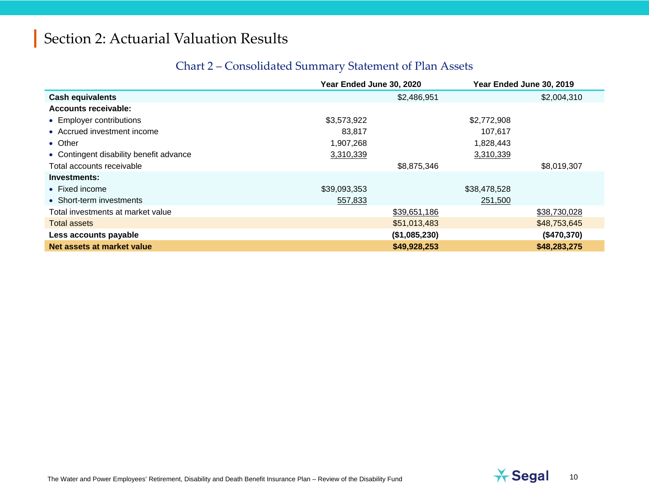#### Chart 2 – Consolidated Summary Statement of Plan Assets

|                                         | Year Ended June 30, 2020 |               | Year Ended June 30, 2019 |
|-----------------------------------------|--------------------------|---------------|--------------------------|
| <b>Cash equivalents</b>                 |                          | \$2,486,951   | \$2,004,310              |
| <b>Accounts receivable:</b>             |                          |               |                          |
| • Employer contributions                | \$3,573,922              | \$2,772,908   |                          |
| • Accrued investment income             | 83.817                   | 107,617       |                          |
| • Other                                 | 1,907,268                | 1,828,443     |                          |
| • Contingent disability benefit advance | 3,310,339                | 3,310,339     |                          |
| Total accounts receivable               |                          | \$8,875,346   | \$8,019,307              |
| Investments:                            |                          |               |                          |
| $\bullet$ Fixed income                  | \$39,093,353             | \$38,478,528  |                          |
| • Short-term investments                | 557,833                  | 251,500       |                          |
| Total investments at market value       |                          | \$39,651,186  | \$38,730,028             |
| <b>Total assets</b>                     |                          | \$51,013,483  | \$48,753,645             |
| Less accounts payable                   |                          | (\$1,085,230) | (\$470,370)              |
| Net assets at market value              |                          | \$49,928,253  | \$48,283,275             |

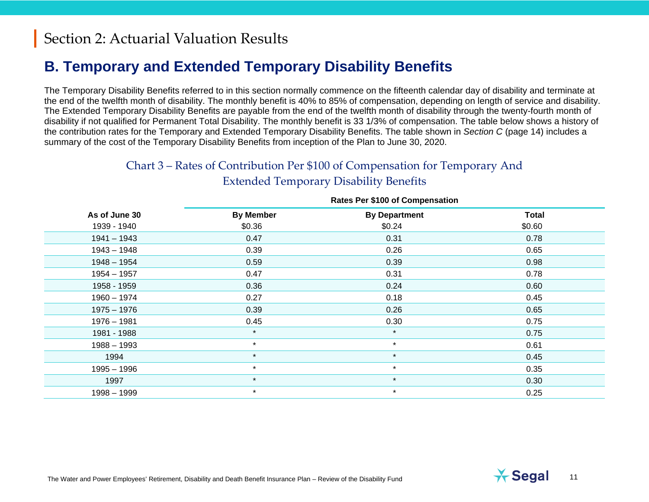# **B. Temporary and Extended Temporary Disability Benefits**

The Temporary Disability Benefits referred to in this section normally commence on the fifteenth calendar day of disability and terminate at the end of the twelfth month of disability. The monthly benefit is 40% to 85% of compensation, depending on length of service and disability. The Extended Temporary Disability Benefits are payable from the end of the twelfth month of disability through the twenty-fourth month of disability if not qualified for Permanent Total Disability. The monthly benefit is 33 1/3% of compensation. The table below shows a history of the contribution rates for the Temporary and Extended Temporary Disability Benefits. The table shown in *Section C* (page 14) includes a summary of the cost of the Temporary Disability Benefits from inception of the Plan to June 30, 2020.

> Chart 3 – Rates of Contribution Per \$100 of Compensation for Temporary And Extended Temporary Disability Benefits

|               | Rates Fel VIOU OF Compensation |                      |              |  |  |
|---------------|--------------------------------|----------------------|--------------|--|--|
| As of June 30 | <b>By Member</b>               | <b>By Department</b> | <b>Total</b> |  |  |
| 1939 - 1940   | \$0.36                         | \$0.24               | \$0.60       |  |  |
| $1941 - 1943$ | 0.47                           | 0.31                 | 0.78         |  |  |
| $1943 - 1948$ | 0.39                           | 0.26                 | 0.65         |  |  |
| $1948 - 1954$ | 0.59                           | 0.39                 | 0.98         |  |  |
| $1954 - 1957$ | 0.47                           | 0.31                 | 0.78         |  |  |
| 1958 - 1959   | 0.36                           | 0.24                 | 0.60         |  |  |
| $1960 - 1974$ | 0.27                           | 0.18                 | 0.45         |  |  |
| $1975 - 1976$ | 0.39                           | 0.26                 | 0.65         |  |  |
| $1976 - 1981$ | 0.45                           | 0.30                 | 0.75         |  |  |
| 1981 - 1988   | $\star$                        | $\star$              | 0.75         |  |  |
| $1988 - 1993$ | $\star$                        | $\star$              | 0.61         |  |  |
| 1994          | $\star$                        | $\star$              | 0.45         |  |  |
| $1995 - 1996$ | $\star$                        | $\star$              | 0.35         |  |  |
| 1997          | $\star$                        | $\star$              | 0.30         |  |  |
| $1998 - 1999$ | $\star$                        | $\star$              | 0.25         |  |  |

#### **Rates Per \$100 of Compensation**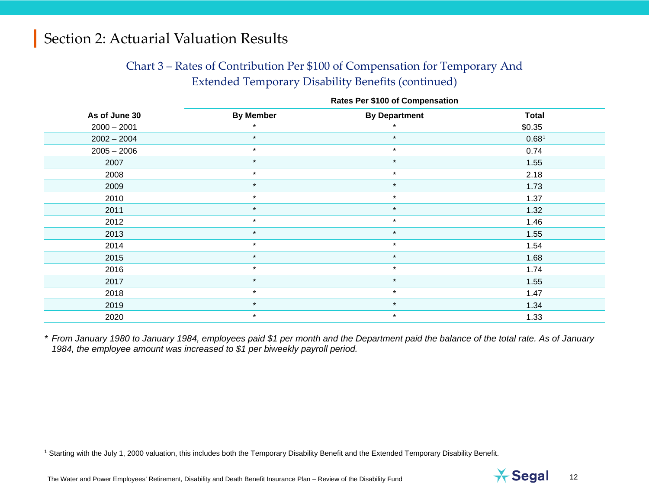#### <span id="page-11-0"></span>Chart 3 – Rates of Contribution Per \$100 of Compensation for Temporary And Extended Temporary Disability Benefits (continued)

| <b>Rates Per \$100 of Compensation</b> |                  |                      |              |  |  |
|----------------------------------------|------------------|----------------------|--------------|--|--|
| As of June 30                          | <b>By Member</b> | <b>By Department</b> | <b>Total</b> |  |  |
| $2000 - 2001$                          |                  |                      | \$0.35       |  |  |
| $2002 - 2004$                          | $\star$          | $\star$              | 0.681        |  |  |
| $2005 - 2006$                          | $\star$          | $\star$              | 0.74         |  |  |
| 2007                                   | $\star$          | $\star$              | 1.55         |  |  |
| 2008                                   | $\star$          | $\star$              | 2.18         |  |  |
| 2009                                   | $\star$          | $\star$              | 1.73         |  |  |
| 2010                                   | $\star$          | $\star$              | 1.37         |  |  |
| 2011                                   | $\star$          | $\star$              | 1.32         |  |  |
| 2012                                   | $\star$          | $\star$              | 1.46         |  |  |
| 2013                                   | $\star$          | $\star$              | 1.55         |  |  |
| 2014                                   | $\star$          | $\star$              | 1.54         |  |  |
| 2015                                   | $\star$          | $\star$              | 1.68         |  |  |
| 2016                                   | $\star$          | $\star$              | 1.74         |  |  |
| 2017                                   | $\star$          | $\star$              | 1.55         |  |  |
| 2018                                   | $\star$          | $\star$              | 1.47         |  |  |
| 2019                                   | $\star$          | $\star$              | 1.34         |  |  |
| 2020                                   | $\star$          | $\star$              | 1.33         |  |  |

*\* From January 1980 to January 1984, employees paid \$1 per month and the Department paid the balance of the total rate. As of January 1984, the employee amount was increased to \$1 per biweekly payroll period.*

<sup>1</sup> Starting with the July 1, 2000 valuation, this includes both the Temporary Disability Benefit and the Extended Temporary Disability Benefit.

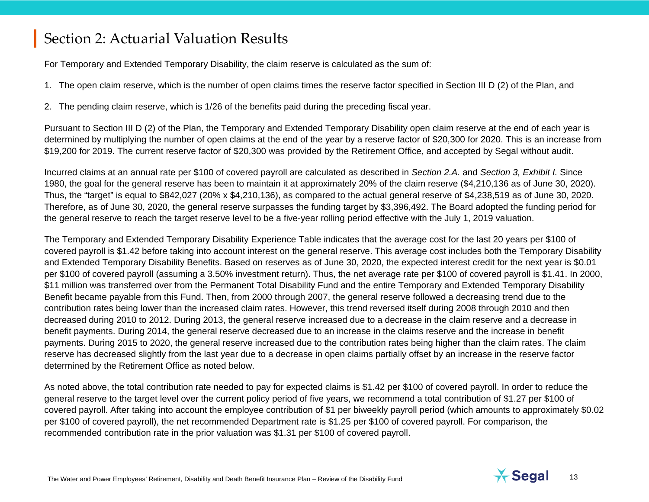<span id="page-12-0"></span>For Temporary and Extended Temporary Disability, the claim reserve is calculated as the sum of:

- 1. The open claim reserve, which is the number of open claims times the reserve factor specified in Section III D (2) of the Plan, and
- 2. The pending claim reserve, which is 1/26 of the benefits paid during the preceding fiscal year.

Pursuant to Section III D (2) of the Plan, the Temporary and Extended Temporary Disability open claim reserve at the end of each year is determined by multiplying the number of open claims at the end of the year by a reserve factor of \$20,300 for 2020. This is an increase from \$19,200 for 2019. The current reserve factor of \$20,300 was provided by the Retirement Office, and accepted by Segal without audit.

Incurred claims at an annual rate per \$100 of covered payroll are calculated as described in *Section 2.A.* and *Section 3, Exhibit I.* Since 1980, the goal for the general reserve has been to maintain it at approximately 20% of the claim reserve (\$4,210,136 as of June 30, 2020). Thus, the "target" is equal to \$842,027 (20% x \$4,210,136), as compared to the actual general reserve of \$4,238,519 as of June 30, 2020. Therefore, as of June 30, 2020, the general reserve surpasses the funding target by \$3,396,492. The Board adopted the funding period for the general reserve to reach the target reserve level to be a five-year rolling period effective with the July 1, 2019 valuation.

The Temporary and Extended Temporary Disability Experience Table indicates that the average cost for the last 20 years per \$100 of covered payroll is \$1.42 before taking into account interest on the general reserve. This average cost includes both the Temporary Disability and Extended Temporary Disability Benefits. Based on reserves as of June 30, 2020, the expected interest credit for the next year is \$0.01 per \$100 of covered payroll (assuming a 3.50% investment return). Thus, the net average rate per \$100 of covered payroll is \$1.41. In 2000, \$11 million was transferred over from the Permanent Total Disability Fund and the entire Temporary and Extended Temporary Disability Benefit became payable from this Fund. Then, from 2000 through 2007, the general reserve followed a decreasing trend due to the contribution rates being lower than the increased claim rates. However, this trend reversed itself during 2008 through 2010 and then decreased during 2010 to 2012. During 2013, the general reserve increased due to a decrease in the claim reserve and a decrease in benefit payments. During 2014, the general reserve decreased due to an increase in the claims reserve and the increase in benefit payments. During 2015 to 2020, the general reserve increased due to the contribution rates being higher than the claim rates. The claim reserve has decreased slightly from the last year due to a decrease in open claims partially offset by an increase in the reserve factor determined by the Retirement Office as noted below.

As noted above, the total contribution rate needed to pay for expected claims is \$1.42 per \$100 of covered payroll. In order to reduce the general reserve to the target level over the current policy period of five years, we recommend a total contribution of \$1.27 per \$100 of covered payroll. After taking into account the employee contribution of \$1 per biweekly payroll period (which amounts to approximately \$0.02 per \$100 of covered payroll), the net recommended Department rate is \$1.25 per \$100 of covered payroll. For comparison, the recommended contribution rate in the prior valuation was \$1.31 per \$100 of covered payroll.

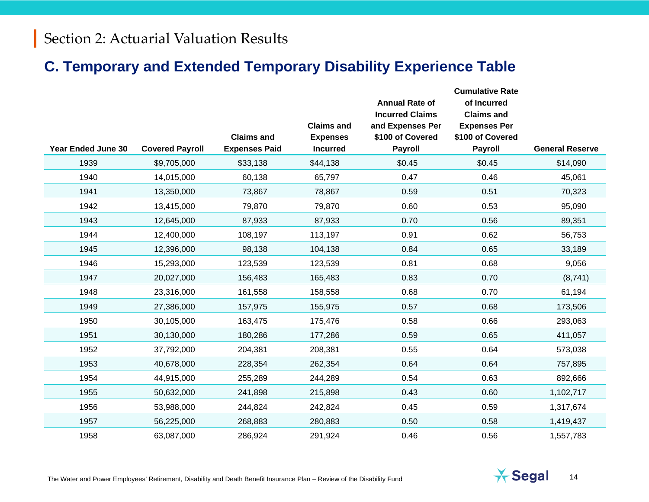## **C. Temporary and Extended Temporary Disability Experience Table**

|                           |                        |                      | <b>Claims and</b> | <b>Annual Rate of</b><br><b>Incurred Claims</b><br>and Expenses Per | <b>Cumulative Rate</b><br>of Incurred<br><b>Claims and</b><br><b>Expenses Per</b> |                        |
|---------------------------|------------------------|----------------------|-------------------|---------------------------------------------------------------------|-----------------------------------------------------------------------------------|------------------------|
|                           |                        | <b>Claims and</b>    | <b>Expenses</b>   | \$100 of Covered                                                    | \$100 of Covered                                                                  |                        |
| <b>Year Ended June 30</b> | <b>Covered Payroll</b> | <b>Expenses Paid</b> | <b>Incurred</b>   | <b>Payroll</b>                                                      | <b>Payroll</b>                                                                    | <b>General Reserve</b> |
| 1939                      | \$9,705,000            | \$33,138             | \$44,138          | \$0.45                                                              | \$0.45                                                                            | \$14,090               |
| 1940                      | 14,015,000             | 60,138               | 65,797            | 0.47                                                                | 0.46                                                                              | 45,061                 |
| 1941                      | 13,350,000             | 73,867               | 78,867            | 0.59                                                                | 0.51                                                                              | 70,323                 |
| 1942                      | 13,415,000             | 79,870               | 79,870            | 0.60                                                                | 0.53                                                                              | 95,090                 |
| 1943                      | 12,645,000             | 87,933               | 87,933            | 0.70                                                                | 0.56                                                                              | 89,351                 |
| 1944                      | 12,400,000             | 108,197              | 113,197           | 0.91                                                                | 0.62                                                                              | 56,753                 |
| 1945                      | 12,396,000             | 98,138               | 104,138           | 0.84                                                                | 0.65                                                                              | 33,189                 |
| 1946                      | 15,293,000             | 123,539              | 123,539           | 0.81                                                                | 0.68                                                                              | 9,056                  |
| 1947                      | 20,027,000             | 156,483              | 165,483           | 0.83                                                                | 0.70                                                                              | (8,741)                |
| 1948                      | 23,316,000             | 161,558              | 158,558           | 0.68                                                                | 0.70                                                                              | 61,194                 |
| 1949                      | 27,386,000             | 157,975              | 155,975           | 0.57                                                                | 0.68                                                                              | 173,506                |
| 1950                      | 30,105,000             | 163,475              | 175,476           | 0.58                                                                | 0.66                                                                              | 293,063                |
| 1951                      | 30,130,000             | 180,286              | 177,286           | 0.59                                                                | 0.65                                                                              | 411,057                |
| 1952                      | 37,792,000             | 204,381              | 208,381           | 0.55                                                                | 0.64                                                                              | 573,038                |
| 1953                      | 40,678,000             | 228,354              | 262,354           | 0.64                                                                | 0.64                                                                              | 757,895                |
| 1954                      | 44,915,000             | 255,289              | 244,289           | 0.54                                                                | 0.63                                                                              | 892,666                |
| 1955                      | 50,632,000             | 241,898              | 215,898           | 0.43                                                                | 0.60                                                                              | 1,102,717              |
| 1956                      | 53,988,000             | 244,824              | 242,824           | 0.45                                                                | 0.59                                                                              | 1,317,674              |
| 1957                      | 56,225,000             | 268,883              | 280,883           | 0.50                                                                | 0.58                                                                              | 1,419,437              |
| 1958                      | 63,087,000             | 286,924              | 291,924           | 0.46                                                                | 0.56                                                                              | 1,557,783              |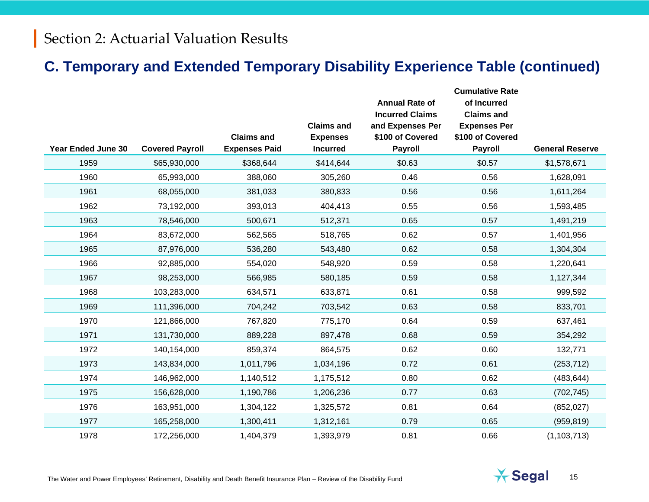## **C. Temporary and Extended Temporary Disability Experience Table (continued)**

|                           |                        |                      |                   | <b>Annual Rate of</b>                      | <b>Cumulative Rate</b><br>of Incurred    |                        |
|---------------------------|------------------------|----------------------|-------------------|--------------------------------------------|------------------------------------------|------------------------|
|                           |                        |                      | <b>Claims and</b> | <b>Incurred Claims</b><br>and Expenses Per | <b>Claims and</b><br><b>Expenses Per</b> |                        |
|                           |                        | <b>Claims and</b>    | <b>Expenses</b>   | \$100 of Covered                           | \$100 of Covered                         |                        |
| <b>Year Ended June 30</b> | <b>Covered Payroll</b> | <b>Expenses Paid</b> | <b>Incurred</b>   | <b>Payroll</b>                             | <b>Payroll</b>                           | <b>General Reserve</b> |
| 1959                      | \$65,930,000           | \$368,644            | \$414,644         | \$0.63                                     | \$0.57                                   | \$1,578,671            |
| 1960                      | 65,993,000             | 388,060              | 305,260           | 0.46                                       | 0.56                                     | 1,628,091              |
| 1961                      | 68,055,000             | 381,033              | 380,833           | 0.56                                       | 0.56                                     | 1,611,264              |
| 1962                      | 73,192,000             | 393,013              | 404,413           | 0.55                                       | 0.56                                     | 1,593,485              |
| 1963                      | 78,546,000             | 500,671              | 512,371           | 0.65                                       | 0.57                                     | 1,491,219              |
| 1964                      | 83,672,000             | 562,565              | 518,765           | 0.62                                       | 0.57                                     | 1,401,956              |
| 1965                      | 87,976,000             | 536,280              | 543,480           | 0.62                                       | 0.58                                     | 1,304,304              |
| 1966                      | 92,885,000             | 554,020              | 548,920           | 0.59                                       | 0.58                                     | 1,220,641              |
| 1967                      | 98,253,000             | 566,985              | 580,185           | 0.59                                       | 0.58                                     | 1,127,344              |
| 1968                      | 103,283,000            | 634,571              | 633,871           | 0.61                                       | 0.58                                     | 999,592                |
| 1969                      | 111,396,000            | 704,242              | 703,542           | 0.63                                       | 0.58                                     | 833,701                |
| 1970                      | 121,866,000            | 767,820              | 775,170           | 0.64                                       | 0.59                                     | 637,461                |
| 1971                      | 131,730,000            | 889,228              | 897,478           | 0.68                                       | 0.59                                     | 354,292                |
| 1972                      | 140,154,000            | 859,374              | 864,575           | 0.62                                       | 0.60                                     | 132,771                |
| 1973                      | 143,834,000            | 1,011,796            | 1,034,196         | 0.72                                       | 0.61                                     | (253, 712)             |
| 1974                      | 146,962,000            | 1,140,512            | 1,175,512         | 0.80                                       | 0.62                                     | (483, 644)             |
| 1975                      | 156,628,000            | 1,190,786            | 1,206,236         | 0.77                                       | 0.63                                     | (702, 745)             |
| 1976                      | 163,951,000            | 1,304,122            | 1,325,572         | 0.81                                       | 0.64                                     | (852, 027)             |
| 1977                      | 165,258,000            | 1,300,411            | 1,312,161         | 0.79                                       | 0.65                                     | (959, 819)             |
| 1978                      | 172,256,000            | 1,404,379            | 1,393,979         | 0.81                                       | 0.66                                     | (1, 103, 713)          |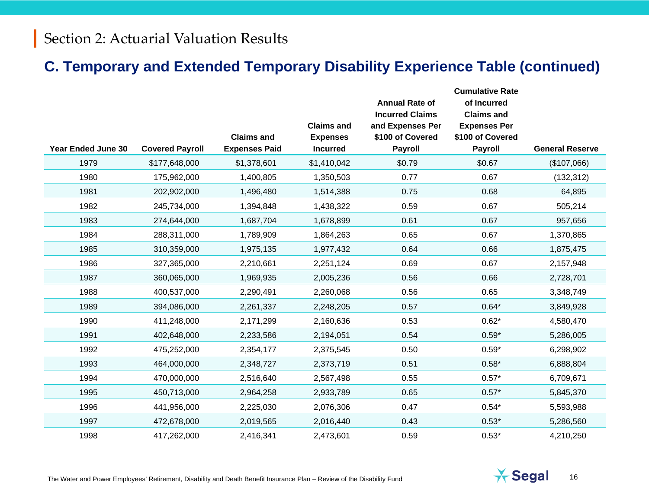## **C. Temporary and Extended Temporary Disability Experience Table (continued)**

|                           |                        |                      | <b>Claims and</b> | <b>Annual Rate of</b><br><b>Incurred Claims</b> | <b>Cumulative Rate</b><br>of Incurred<br><b>Claims and</b> |                        |
|---------------------------|------------------------|----------------------|-------------------|-------------------------------------------------|------------------------------------------------------------|------------------------|
|                           |                        | <b>Claims and</b>    | <b>Expenses</b>   | and Expenses Per<br>\$100 of Covered            | <b>Expenses Per</b><br>\$100 of Covered                    |                        |
| <b>Year Ended June 30</b> | <b>Covered Payroll</b> | <b>Expenses Paid</b> | <b>Incurred</b>   | <b>Payroll</b>                                  | <b>Payroll</b>                                             | <b>General Reserve</b> |
| 1979                      | \$177,648,000          | \$1,378,601          | \$1,410,042       | \$0.79                                          | \$0.67                                                     | (\$107,066)            |
| 1980                      | 175,962,000            | 1,400,805            | 1,350,503         | 0.77                                            | 0.67                                                       | (132, 312)             |
| 1981                      | 202,902,000            | 1,496,480            | 1,514,388         | 0.75                                            | 0.68                                                       | 64,895                 |
| 1982                      | 245,734,000            | 1,394,848            | 1,438,322         | 0.59                                            | 0.67                                                       | 505,214                |
| 1983                      | 274,644,000            | 1,687,704            | 1,678,899         | 0.61                                            | 0.67                                                       | 957,656                |
| 1984                      | 288,311,000            | 1,789,909            | 1,864,263         | 0.65                                            | 0.67                                                       | 1,370,865              |
| 1985                      | 310,359,000            | 1,975,135            | 1,977,432         | 0.64                                            | 0.66                                                       | 1,875,475              |
| 1986                      | 327,365,000            | 2,210,661            | 2,251,124         | 0.69                                            | 0.67                                                       | 2,157,948              |
| 1987                      | 360,065,000            | 1,969,935            | 2,005,236         | 0.56                                            | 0.66                                                       | 2,728,701              |
| 1988                      | 400,537,000            | 2,290,491            | 2,260,068         | 0.56                                            | 0.65                                                       | 3,348,749              |
| 1989                      | 394,086,000            | 2,261,337            | 2,248,205         | 0.57                                            | $0.64*$                                                    | 3,849,928              |
| 1990                      | 411,248,000            | 2,171,299            | 2,160,636         | 0.53                                            | $0.62*$                                                    | 4,580,470              |
| 1991                      | 402,648,000            | 2,233,586            | 2,194,051         | 0.54                                            | $0.59*$                                                    | 5,286,005              |
| 1992                      | 475,252,000            | 2,354,177            | 2,375,545         | 0.50                                            | $0.59*$                                                    | 6,298,902              |
| 1993                      | 464,000,000            | 2,348,727            | 2,373,719         | 0.51                                            | $0.58*$                                                    | 6,888,804              |
| 1994                      | 470,000,000            | 2,516,640            | 2,567,498         | 0.55                                            | $0.57*$                                                    | 6,709,671              |
| 1995                      | 450,713,000            | 2,964,258            | 2,933,789         | 0.65                                            | $0.57*$                                                    | 5,845,370              |
| 1996                      | 441,956,000            | 2,225,030            | 2,076,306         | 0.47                                            | $0.54*$                                                    | 5,593,988              |
| 1997                      | 472,678,000            | 2,019,565            | 2,016,440         | 0.43                                            | $0.53*$                                                    | 5,286,560              |
| 1998                      | 417,262,000            | 2,416,341            | 2,473,601         | 0.59                                            | $0.53*$                                                    | 4,210,250              |

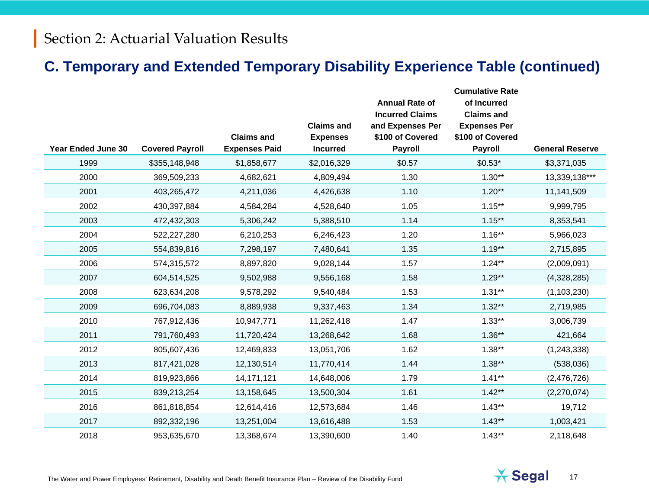## **C. Temporary and Extended Temporary Disability Experience Table (continued)**

|                           |                        |                      |                   | <b>Annual Rate of</b><br><b>Incurred Claims</b> | <b>Cumulative Rate</b><br>of Incurred<br><b>Claims and</b> |                        |
|---------------------------|------------------------|----------------------|-------------------|-------------------------------------------------|------------------------------------------------------------|------------------------|
|                           |                        |                      | <b>Claims and</b> | and Expenses Per                                | <b>Expenses Per</b>                                        |                        |
|                           |                        | <b>Claims and</b>    | <b>Expenses</b>   | \$100 of Covered                                | \$100 of Covered                                           |                        |
| <b>Year Ended June 30</b> | <b>Covered Payroll</b> | <b>Expenses Paid</b> | <b>Incurred</b>   | <b>Payroll</b>                                  | <b>Payroll</b>                                             | <b>General Reserve</b> |
| 1999                      | \$355,148,948          | \$1,858,677          | \$2,016,329       | \$0.57                                          | $$0.53*$                                                   | \$3,371,035            |
| 2000                      | 369,509,233            | 4,682,621            | 4,809,494         | 1.30                                            | $1.30**$                                                   | 13,339,138***          |
| 2001                      | 403,265,472            | 4,211,036            | 4,426,638         | 1.10                                            | $1.20**$                                                   | 11,141,509             |
| 2002                      | 430,397,884            | 4,584,284            | 4,528,640         | 1.05                                            | $1.15***$                                                  | 9,999,795              |
| 2003                      | 472,432,303            | 5,306,242            | 5,388,510         | 1.14                                            | $1.15***$                                                  | 8,353,541              |
| 2004                      | 522,227,280            | 6,210,253            | 6,246,423         | 1.20                                            | $1.16***$                                                  | 5,966,023              |
| 2005                      | 554,839,816            | 7,298,197            | 7,480,641         | 1.35                                            | $1.19**$                                                   | 2,715,895              |
| 2006                      | 574,315,572            | 8,897,820            | 9,028,144         | 1.57                                            | $1.24***$                                                  | (2,009,091)            |
| 2007                      | 604,514,525            | 9,502,988            | 9,556,168         | 1.58                                            | $1.29**$                                                   | (4,328,285)            |
| 2008                      | 623,634,208            | 9,578,292            | 9,540,484         | 1.53                                            | $1.31**$                                                   | (1, 103, 230)          |
| 2009                      | 696,704,083            | 8,889,938            | 9,337,463         | 1.34                                            | $1.32**$                                                   | 2,719,985              |
| 2010                      | 767,912,436            | 10,947,771           | 11,262,418        | 1.47                                            | $1.33**$                                                   | 3,006,739              |
| 2011                      | 791,760,493            | 11,720,424           | 13,268,642        | 1.68                                            | $1.36**$                                                   | 421,664                |
| 2012                      | 805,607,436            | 12,469,833           | 13,051,706        | 1.62                                            | $1.38**$                                                   | (1, 243, 338)          |
| 2013                      | 817,421,028            | 12,130,514           | 11,770,414        | 1.44                                            | $1.38**$                                                   | (538,036)              |
| 2014                      | 819,923,866            | 14, 171, 121         | 14,648,006        | 1.79                                            | $1.41***$                                                  | (2,476,726)            |
| 2015                      | 839,213,254            | 13,158,645           | 13,500,304        | 1.61                                            | $1.42**$                                                   | (2,270,074)            |
| 2016                      | 861,818,854            | 12,614,416           | 12,573,684        | 1.46                                            | $1.43**$                                                   | 19,712                 |
| 2017                      | 892,332,196            | 13,251,004           | 13,616,488        | 1.53                                            | $1.43**$                                                   | 1,003,421              |
| 2018                      | 953,635,670            | 13,368,674           | 13,390,600        | 1.40                                            | $1.43**$                                                   | 2,118,648              |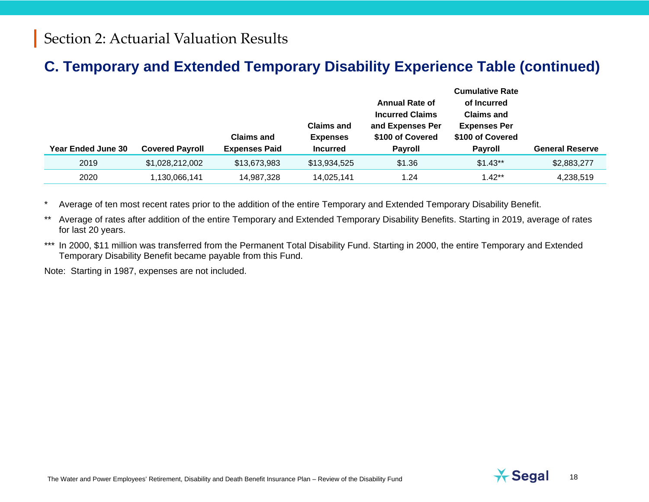# **C. Temporary and Extended Temporary Disability Experience Table (continued)**

| <b>Year Ended June 30</b> | <b>Covered Payroll</b> | <b>Claims and</b><br><b>Expenses Paid</b> | <b>Claims and</b><br><b>Expenses</b><br><b>Incurred</b> | <b>Annual Rate of</b><br><b>Incurred Claims</b><br>and Expenses Per<br>\$100 of Covered<br><b>Payroll</b> | <b>Cumulative Rate</b><br>of Incurred<br><b>Claims and</b><br><b>Expenses Per</b><br>\$100 of Covered<br><b>Payroll</b> | <b>General Reserve</b> |
|---------------------------|------------------------|-------------------------------------------|---------------------------------------------------------|-----------------------------------------------------------------------------------------------------------|-------------------------------------------------------------------------------------------------------------------------|------------------------|
| 2019                      | \$1,028,212,002        | \$13,673,983                              | \$13,934,525                                            | \$1.36                                                                                                    | $$1.43**$                                                                                                               | \$2,883,277            |
| 2020                      | ,130,066,141           | 14,987,328                                | 14,025,141                                              | 1.24                                                                                                      | $1.42**$                                                                                                                | 4,238,519              |

Average of ten most recent rates prior to the addition of the entire Temporary and Extended Temporary Disability Benefit.

\*\* Average of rates after addition of the entire Temporary and Extended Temporary Disability Benefits. Starting in 2019, average of rates for last 20 years.

\*\*\* In 2000, \$11 million was transferred from the Permanent Total Disability Fund. Starting in 2000, the entire Temporary and Extended Temporary Disability Benefit became payable from this Fund.

Note: Starting in 1987, expenses are not included.

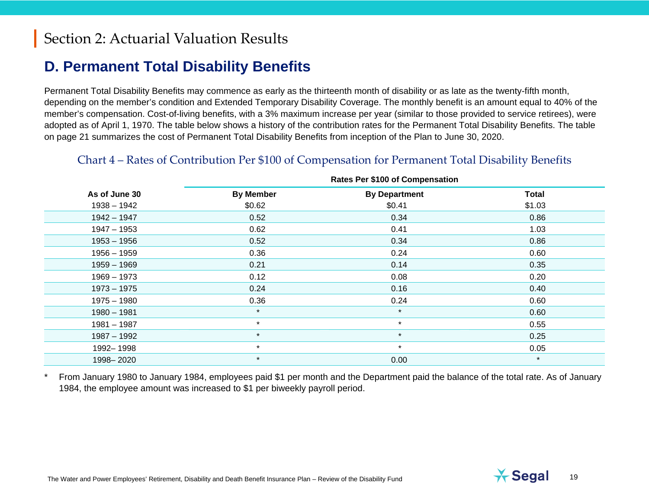## **D. Permanent Total Disability Benefits**

Permanent Total Disability Benefits may commence as early as the thirteenth month of disability or as late as the twenty-fifth month, depending on the member's condition and Extended Temporary Disability Coverage. The monthly benefit is an amount equal to 40% of the member's compensation. Cost-of-living benefits, with a 3% maximum increase per year (similar to those provided to service retirees), were adopted as of April 1, 1970. The table below shows a history of the contribution rates for the Permanent Total Disability Benefits. The table on page 21 summarizes the cost of Permanent Total Disability Benefits from inception of the Plan to June 30, 2020.

#### Chart 4 – Rates of Contribution Per \$100 of Compensation for Permanent Total Disability Benefits

|               | <b>Rates Per \$100 of Compensation</b> |                      |              |  |  |  |
|---------------|----------------------------------------|----------------------|--------------|--|--|--|
| As of June 30 | <b>By Member</b>                       | <b>By Department</b> | <b>Total</b> |  |  |  |
| $1938 - 1942$ | \$0.62                                 | \$0.41               | \$1.03       |  |  |  |
| $1942 - 1947$ | 0.52                                   | 0.34                 | 0.86         |  |  |  |
| $1947 - 1953$ | 0.62                                   | 0.41                 | 1.03         |  |  |  |
| $1953 - 1956$ | 0.52                                   | 0.34                 | 0.86         |  |  |  |
| $1956 - 1959$ | 0.36                                   | 0.24                 | 0.60         |  |  |  |
| $1959 - 1969$ | 0.21                                   | 0.14                 | 0.35         |  |  |  |
| $1969 - 1973$ | 0.12                                   | 0.08                 | 0.20         |  |  |  |
| $1973 - 1975$ | 0.24                                   | 0.16                 | 0.40         |  |  |  |
| $1975 - 1980$ | 0.36                                   | 0.24                 | 0.60         |  |  |  |
| $1980 - 1981$ | $\star$                                | $\star$              | 0.60         |  |  |  |
| $1981 - 1987$ | $\star$                                | $\star$              | 0.55         |  |  |  |
| $1987 - 1992$ | $\star$                                | $\star$              | 0.25         |  |  |  |
| 1992-1998     | $\star$                                | $\star$              | 0.05         |  |  |  |
| 1998-2020     | $\star$                                | 0.00                 | $\star$      |  |  |  |

From January 1980 to January 1984, employees paid \$1 per month and the Department paid the balance of the total rate. As of January 1984, the employee amount was increased to \$1 per biweekly payroll period.

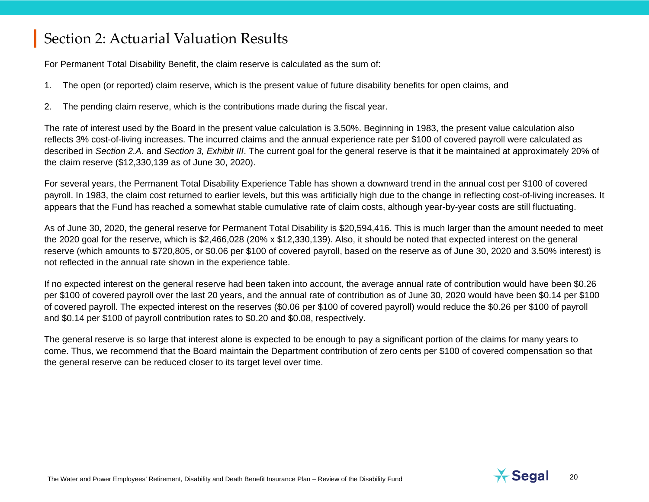For Permanent Total Disability Benefit, the claim reserve is calculated as the sum of:

- 1. The open (or reported) claim reserve, which is the present value of future disability benefits for open claims, and
- <span id="page-19-0"></span>2. The pending claim reserve, which is the contributions made during the fiscal year.

The rate of interest used by the Board in the present value calculation is 3.50%. Beginning in 1983, the present value calculation also reflects 3% cost-of-living increases. The incurred claims and the annual experience rate per \$100 of covered payroll were calculated as described in *Section 2.A.* and *Section 3, Exhibit III*. The current goal for the general reserve is that it be maintained at approximately 20% of the claim reserve (\$12,330,139 as of June 30, 2020).

For several years, the Permanent Total Disability Experience Table has shown a downward trend in the annual cost per \$100 of covered payroll. In 1983, the claim cost returned to earlier levels, but this was artificially high due to the change in reflecting cost-of-living increases. It appears that the Fund has reached a somewhat stable cumulative rate of claim costs, although year-by-year costs are still fluctuating.

As of June 30, 2020, the general reserve for Permanent Total Disability is \$20,594,416. This is much larger than the amount needed to meet the 2020 goal for the reserve, which is \$2,466,028 (20% x \$12,330,139). Also, it should be noted that expected interest on the general reserve (which amounts to \$720,805, or \$0.06 per \$100 of covered payroll, based on the reserve as of June 30, 2020 and 3.50% interest) is not reflected in the annual rate shown in the experience table.

If no expected interest on the general reserve had been taken into account, the average annual rate of contribution would have been \$0.26 per \$100 of covered payroll over the last 20 years, and the annual rate of contribution as of June 30, 2020 would have been \$0.14 per \$100 of covered payroll. The expected interest on the reserves (\$0.06 per \$100 of covered payroll) would reduce the \$0.26 per \$100 of payroll and \$0.14 per \$100 of payroll contribution rates to \$0.20 and \$0.08, respectively.

The general reserve is so large that interest alone is expected to be enough to pay a significant portion of the claims for many years to come. Thus, we recommend that the Board maintain the Department contribution of zero cents per \$100 of covered compensation so that the general reserve can be reduced closer to its target level over time.

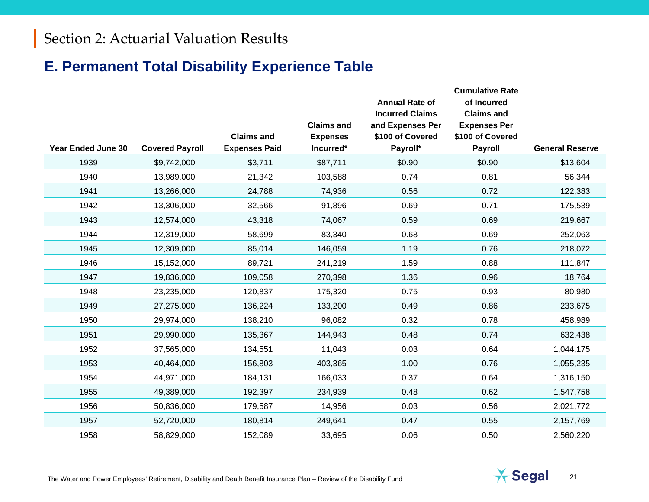## **E. Permanent Total Disability Experience Table**

| <b>Year Ended June 30</b> | <b>Covered Payroll</b> | <b>Claims and</b><br><b>Expenses Paid</b> | <b>Claims and</b><br><b>Expenses</b><br>Incurred* | <b>Annual Rate of</b><br><b>Incurred Claims</b><br>and Expenses Per<br>\$100 of Covered<br>Payroll* | <b>Cumulative Rate</b><br>of Incurred<br><b>Claims and</b><br><b>Expenses Per</b><br>\$100 of Covered<br><b>Payroll</b> | <b>General Reserve</b> |
|---------------------------|------------------------|-------------------------------------------|---------------------------------------------------|-----------------------------------------------------------------------------------------------------|-------------------------------------------------------------------------------------------------------------------------|------------------------|
| 1939                      | \$9,742,000            | \$3,711                                   | \$87,711                                          | \$0.90                                                                                              | \$0.90                                                                                                                  | \$13,604               |
| 1940                      | 13,989,000             | 21,342                                    | 103,588                                           | 0.74                                                                                                | 0.81                                                                                                                    | 56,344                 |
| 1941                      | 13,266,000             | 24,788                                    | 74,936                                            | 0.56                                                                                                | 0.72                                                                                                                    | 122,383                |
| 1942                      | 13,306,000             | 32,566                                    | 91,896                                            | 0.69                                                                                                | 0.71                                                                                                                    | 175,539                |
| 1943                      | 12,574,000             | 43,318                                    | 74,067                                            | 0.59                                                                                                | 0.69                                                                                                                    | 219,667                |
| 1944                      | 12,319,000             | 58,699                                    | 83,340                                            | 0.68                                                                                                | 0.69                                                                                                                    | 252,063                |
| 1945                      | 12,309,000             | 85,014                                    | 146,059                                           | 1.19                                                                                                | 0.76                                                                                                                    | 218,072                |
| 1946                      | 15,152,000             | 89,721                                    | 241,219                                           | 1.59                                                                                                | 0.88                                                                                                                    | 111,847                |
| 1947                      | 19,836,000             | 109,058                                   | 270,398                                           | 1.36                                                                                                | 0.96                                                                                                                    | 18,764                 |
| 1948                      | 23,235,000             | 120,837                                   | 175,320                                           | 0.75                                                                                                | 0.93                                                                                                                    | 80,980                 |
| 1949                      | 27,275,000             | 136,224                                   | 133,200                                           | 0.49                                                                                                | 0.86                                                                                                                    | 233,675                |
| 1950                      | 29,974,000             | 138,210                                   | 96,082                                            | 0.32                                                                                                | 0.78                                                                                                                    | 458,989                |
| 1951                      | 29,990,000             | 135,367                                   | 144,943                                           | 0.48                                                                                                | 0.74                                                                                                                    | 632,438                |
| 1952                      | 37,565,000             | 134,551                                   | 11,043                                            | 0.03                                                                                                | 0.64                                                                                                                    | 1,044,175              |
| 1953                      | 40,464,000             | 156,803                                   | 403,365                                           | 1.00                                                                                                | 0.76                                                                                                                    | 1,055,235              |
| 1954                      | 44,971,000             | 184,131                                   | 166,033                                           | 0.37                                                                                                | 0.64                                                                                                                    | 1,316,150              |
| 1955                      | 49,389,000             | 192,397                                   | 234,939                                           | 0.48                                                                                                | 0.62                                                                                                                    | 1,547,758              |
| 1956                      | 50,836,000             | 179,587                                   | 14,956                                            | 0.03                                                                                                | 0.56                                                                                                                    | 2,021,772              |
| 1957                      | 52,720,000             | 180,814                                   | 249,641                                           | 0.47                                                                                                | 0.55                                                                                                                    | 2,157,769              |
| 1958                      | 58,829,000             | 152,089                                   | 33,695                                            | 0.06                                                                                                | 0.50                                                                                                                    | 2,560,220              |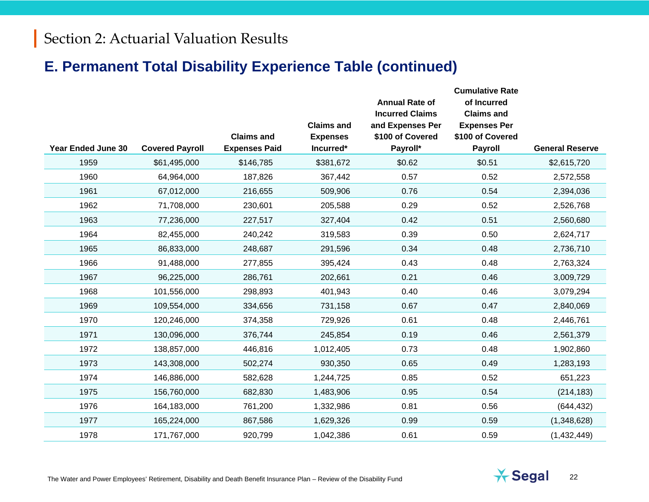## **E. Permanent Total Disability Experience Table (continued)**

| <b>Year Ended June 30</b> | <b>Covered Payroll</b> | <b>Claims and</b><br><b>Expenses Paid</b> | <b>Claims and</b><br><b>Expenses</b><br>Incurred* | <b>Annual Rate of</b><br><b>Incurred Claims</b><br>and Expenses Per<br>\$100 of Covered<br>Payroll* | <b>Cumulative Rate</b><br>of Incurred<br><b>Claims and</b><br><b>Expenses Per</b><br>\$100 of Covered<br><b>Payroll</b> | <b>General Reserve</b> |
|---------------------------|------------------------|-------------------------------------------|---------------------------------------------------|-----------------------------------------------------------------------------------------------------|-------------------------------------------------------------------------------------------------------------------------|------------------------|
| 1959                      | \$61,495,000           | \$146,785                                 | \$381,672                                         | \$0.62                                                                                              | \$0.51                                                                                                                  | \$2,615,720            |
| 1960                      | 64,964,000             | 187,826                                   | 367,442                                           | 0.57                                                                                                | 0.52                                                                                                                    | 2,572,558              |
| 1961                      | 67,012,000             | 216,655                                   | 509,906                                           | 0.76                                                                                                | 0.54                                                                                                                    | 2,394,036              |
| 1962                      | 71,708,000             | 230,601                                   | 205,588                                           | 0.29                                                                                                | 0.52                                                                                                                    | 2,526,768              |
| 1963                      | 77,236,000             | 227,517                                   | 327,404                                           | 0.42                                                                                                | 0.51                                                                                                                    | 2,560,680              |
| 1964                      | 82,455,000             | 240,242                                   | 319,583                                           | 0.39                                                                                                | 0.50                                                                                                                    | 2,624,717              |
| 1965                      | 86,833,000             | 248,687                                   | 291,596                                           | 0.34                                                                                                | 0.48                                                                                                                    | 2,736,710              |
| 1966                      | 91,488,000             | 277,855                                   | 395,424                                           | 0.43                                                                                                | 0.48                                                                                                                    | 2,763,324              |
| 1967                      | 96,225,000             | 286,761                                   | 202,661                                           | 0.21                                                                                                | 0.46                                                                                                                    | 3,009,729              |
| 1968                      | 101,556,000            | 298,893                                   | 401,943                                           | 0.40                                                                                                | 0.46                                                                                                                    | 3,079,294              |
| 1969                      | 109,554,000            | 334,656                                   | 731,158                                           | 0.67                                                                                                | 0.47                                                                                                                    | 2,840,069              |
| 1970                      | 120,246,000            | 374,358                                   | 729,926                                           | 0.61                                                                                                | 0.48                                                                                                                    | 2,446,761              |
| 1971                      | 130,096,000            | 376,744                                   | 245,854                                           | 0.19                                                                                                | 0.46                                                                                                                    | 2,561,379              |
| 1972                      | 138,857,000            | 446,816                                   | 1,012,405                                         | 0.73                                                                                                | 0.48                                                                                                                    | 1,902,860              |
| 1973                      | 143,308,000            | 502,274                                   | 930,350                                           | 0.65                                                                                                | 0.49                                                                                                                    | 1,283,193              |
| 1974                      | 146,886,000            | 582,628                                   | 1,244,725                                         | 0.85                                                                                                | 0.52                                                                                                                    | 651,223                |
| 1975                      | 156,760,000            | 682,830                                   | 1,483,906                                         | 0.95                                                                                                | 0.54                                                                                                                    | (214, 183)             |
| 1976                      | 164,183,000            | 761,200                                   | 1,332,986                                         | 0.81                                                                                                | 0.56                                                                                                                    | (644, 432)             |
| 1977                      | 165,224,000            | 867,586                                   | 1,629,326                                         | 0.99                                                                                                | 0.59                                                                                                                    | (1,348,628)            |
| 1978                      | 171,767,000            | 920,799                                   | 1,042,386                                         | 0.61                                                                                                | 0.59                                                                                                                    | (1,432,449)            |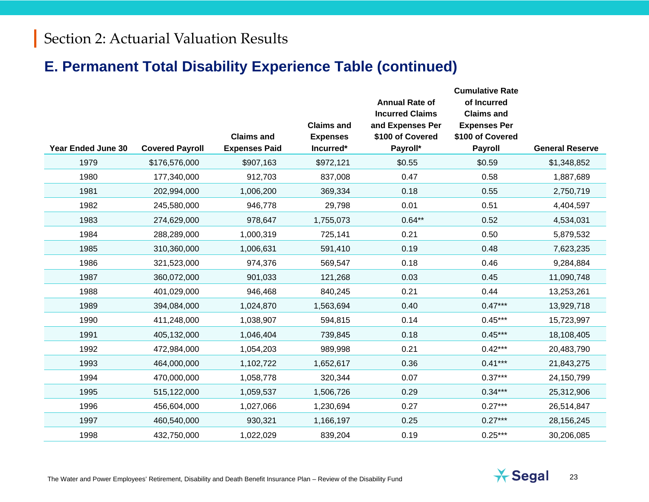## **E. Permanent Total Disability Experience Table (continued)**

|                           |                        |                                           | <b>Claims and</b>            | <b>Annual Rate of</b><br><b>Incurred Claims</b><br>and Expenses Per | <b>Cumulative Rate</b><br>of Incurred<br><b>Claims and</b><br><b>Expenses Per</b> |                        |
|---------------------------|------------------------|-------------------------------------------|------------------------------|---------------------------------------------------------------------|-----------------------------------------------------------------------------------|------------------------|
| <b>Year Ended June 30</b> | <b>Covered Payroll</b> | <b>Claims and</b><br><b>Expenses Paid</b> | <b>Expenses</b><br>Incurred* | \$100 of Covered<br>Payroll*                                        | \$100 of Covered<br><b>Payroll</b>                                                | <b>General Reserve</b> |
| 1979                      | \$176,576,000          | \$907,163                                 | \$972,121                    | \$0.55                                                              | \$0.59                                                                            | \$1,348,852            |
| 1980                      | 177,340,000            | 912,703                                   | 837,008                      | 0.47                                                                | 0.58                                                                              | 1,887,689              |
| 1981                      | 202,994,000            | 1,006,200                                 | 369,334                      | 0.18                                                                | 0.55                                                                              | 2,750,719              |
| 1982                      | 245,580,000            | 946,778                                   | 29,798                       | 0.01                                                                | 0.51                                                                              | 4,404,597              |
| 1983                      | 274,629,000            | 978,647                                   | 1,755,073                    | $0.64**$                                                            | 0.52                                                                              | 4,534,031              |
| 1984                      | 288,289,000            | 1,000,319                                 | 725,141                      | 0.21                                                                | 0.50                                                                              | 5,879,532              |
| 1985                      | 310,360,000            | 1,006,631                                 | 591,410                      | 0.19                                                                | 0.48                                                                              | 7,623,235              |
| 1986                      | 321,523,000            | 974,376                                   | 569,547                      | 0.18                                                                | 0.46                                                                              | 9,284,884              |
| 1987                      | 360,072,000            | 901,033                                   | 121,268                      | 0.03                                                                | 0.45                                                                              | 11,090,748             |
| 1988                      | 401,029,000            | 946,468                                   | 840,245                      | 0.21                                                                | 0.44                                                                              | 13,253,261             |
| 1989                      | 394,084,000            | 1,024,870                                 | 1,563,694                    | 0.40                                                                | $0.47***$                                                                         | 13,929,718             |
| 1990                      | 411,248,000            | 1,038,907                                 | 594,815                      | 0.14                                                                | $0.45***$                                                                         | 15,723,997             |
| 1991                      | 405,132,000            | 1,046,404                                 | 739,845                      | 0.18                                                                | $0.45***$                                                                         | 18,108,405             |
| 1992                      | 472,984,000            | 1,054,203                                 | 989,998                      | 0.21                                                                | $0.42***$                                                                         | 20,483,790             |
| 1993                      | 464,000,000            | 1,102,722                                 | 1,652,617                    | 0.36                                                                | $0.41***$                                                                         | 21,843,275             |
| 1994                      | 470,000,000            | 1,058,778                                 | 320,344                      | 0.07                                                                | $0.37***$                                                                         | 24,150,799             |
| 1995                      | 515,122,000            | 1,059,537                                 | 1,506,726                    | 0.29                                                                | $0.34***$                                                                         | 25,312,906             |
| 1996                      | 456,604,000            | 1,027,066                                 | 1,230,694                    | 0.27                                                                | $0.27***$                                                                         | 26,514,847             |
| 1997                      | 460,540,000            | 930,321                                   | 1,166,197                    | 0.25                                                                | $0.27***$                                                                         | 28,156,245             |
| 1998                      | 432,750,000            | 1,022,029                                 | 839,204                      | 0.19                                                                | $0.25***$                                                                         | 30,206,085             |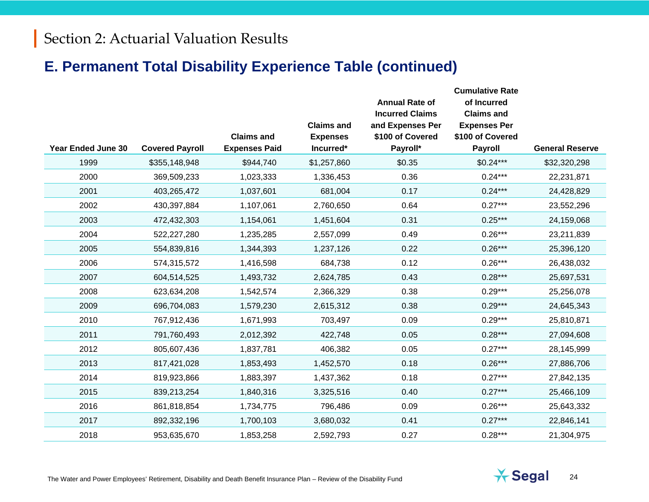## **E. Permanent Total Disability Experience Table (continued)**

|                    |                        | <b>Claims and</b>    | <b>Claims and</b><br><b>Expenses</b> | <b>Annual Rate of</b><br><b>Incurred Claims</b><br>and Expenses Per<br>\$100 of Covered | <b>Cumulative Rate</b><br>of Incurred<br><b>Claims and</b><br><b>Expenses Per</b><br>\$100 of Covered |                        |
|--------------------|------------------------|----------------------|--------------------------------------|-----------------------------------------------------------------------------------------|-------------------------------------------------------------------------------------------------------|------------------------|
| Year Ended June 30 | <b>Covered Payroll</b> | <b>Expenses Paid</b> | Incurred*                            | Payroll*                                                                                | Payroll                                                                                               | <b>General Reserve</b> |
| 1999               | \$355,148,948          | \$944,740            | \$1,257,860                          | \$0.35                                                                                  | $$0.24***$                                                                                            | \$32,320,298           |
| 2000               | 369,509,233            | 1,023,333            | 1,336,453                            | 0.36                                                                                    | $0.24***$                                                                                             | 22,231,871             |
| 2001               | 403,265,472            | 1,037,601            | 681,004                              | 0.17                                                                                    | $0.24***$                                                                                             | 24,428,829             |
| 2002               | 430,397,884            | 1,107,061            | 2,760,650                            | 0.64                                                                                    | $0.27***$                                                                                             | 23,552,296             |
| 2003               | 472,432,303            | 1,154,061            | 1,451,604                            | 0.31                                                                                    | $0.25***$                                                                                             | 24,159,068             |
| 2004               | 522,227,280            | 1,235,285            | 2,557,099                            | 0.49                                                                                    | $0.26***$                                                                                             | 23,211,839             |
| 2005               | 554,839,816            | 1,344,393            | 1,237,126                            | 0.22                                                                                    | $0.26***$                                                                                             | 25,396,120             |
| 2006               | 574,315,572            | 1,416,598            | 684,738                              | 0.12                                                                                    | $0.26***$                                                                                             | 26,438,032             |
| 2007               | 604,514,525            | 1,493,732            | 2,624,785                            | 0.43                                                                                    | $0.28***$                                                                                             | 25,697,531             |
| 2008               | 623,634,208            | 1,542,574            | 2,366,329                            | 0.38                                                                                    | $0.29***$                                                                                             | 25,256,078             |
| 2009               | 696,704,083            | 1,579,230            | 2,615,312                            | 0.38                                                                                    | $0.29***$                                                                                             | 24,645,343             |
| 2010               | 767,912,436            | 1,671,993            | 703,497                              | 0.09                                                                                    | $0.29***$                                                                                             | 25,810,871             |
| 2011               | 791,760,493            | 2,012,392            | 422,748                              | 0.05                                                                                    | $0.28***$                                                                                             | 27,094,608             |
| 2012               | 805,607,436            | 1,837,781            | 406,382                              | 0.05                                                                                    | $0.27***$                                                                                             | 28,145,999             |
| 2013               | 817,421,028            | 1,853,493            | 1,452,570                            | 0.18                                                                                    | $0.26***$                                                                                             | 27,886,706             |
| 2014               | 819,923,866            | 1,883,397            | 1,437,362                            | 0.18                                                                                    | $0.27***$                                                                                             | 27,842,135             |
| 2015               | 839,213,254            | 1,840,316            | 3,325,516                            | 0.40                                                                                    | $0.27***$                                                                                             | 25,466,109             |
| 2016               | 861,818,854            | 1,734,775            | 796,486                              | 0.09                                                                                    | $0.26***$                                                                                             | 25,643,332             |
| 2017               | 892,332,196            | 1,700,103            | 3,680,032                            | 0.41                                                                                    | $0.27***$                                                                                             | 22,846,141             |
| 2018               | 953,635,670            | 1,853,258            | 2,592,793                            | 0.27                                                                                    | $0.28***$                                                                                             | 21,304,975             |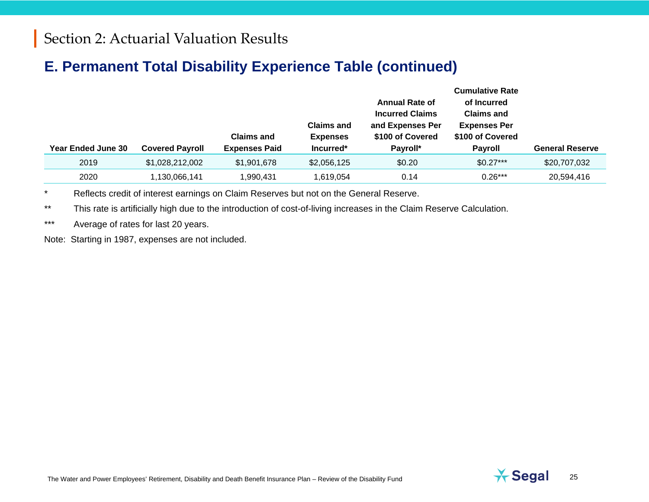## **E. Permanent Total Disability Experience Table (continued)**

| <b>Year Ended June 30</b> | <b>Covered Payroll</b> | <b>Claims and</b><br><b>Expenses Paid</b> | <b>Claims and</b><br><b>Expenses</b><br>Incurred* | <b>Annual Rate of</b><br><b>Incurred Claims</b><br>and Expenses Per<br>\$100 of Covered<br>Payroll* | <b>Cumulative Rate</b><br>of Incurred<br><b>Claims and</b><br><b>Expenses Per</b><br>\$100 of Covered<br><b>Payroll</b> | <b>General Reserve</b> |
|---------------------------|------------------------|-------------------------------------------|---------------------------------------------------|-----------------------------------------------------------------------------------------------------|-------------------------------------------------------------------------------------------------------------------------|------------------------|
| 2019                      | \$1,028,212,002        | \$1,901,678                               | \$2,056,125                                       | \$0.20                                                                                              | $$0.27***$                                                                                                              | \$20,707,032           |
| 2020                      | ,130,066,141           | 1,990,431                                 | 1,619,054                                         | 0.14                                                                                                | $0.26***$                                                                                                               | 20,594,416             |

\* Reflects credit of interest earnings on Claim Reserves but not on the General Reserve.

\*\* This rate is artificially high due to the introduction of cost-of-living increases in the Claim Reserve Calculation.

\*\*\* Average of rates for last 20 years.

Note: Starting in 1987, expenses are not included.

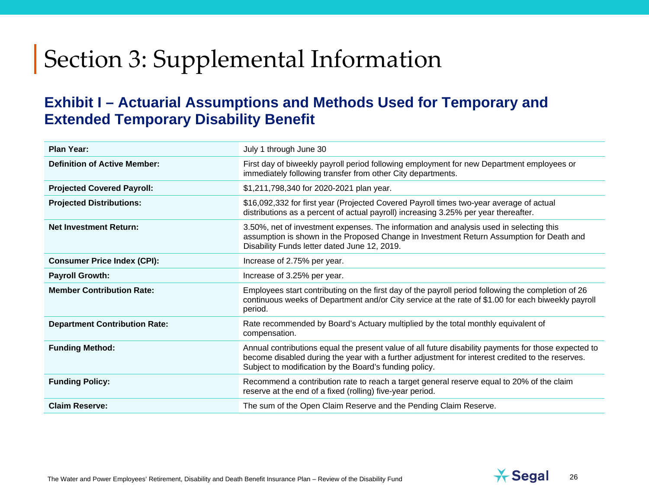### **Exhibit I – Actuarial Assumptions and Methods Used for Temporary and Extended Temporary Disability Benefit**

| <b>Plan Year:</b>                    | July 1 through June 30                                                                                                                                                                                                                                             |
|--------------------------------------|--------------------------------------------------------------------------------------------------------------------------------------------------------------------------------------------------------------------------------------------------------------------|
| <b>Definition of Active Member:</b>  | First day of biweekly payroll period following employment for new Department employees or<br>immediately following transfer from other City departments.                                                                                                           |
| <b>Projected Covered Payroll:</b>    | \$1,211,798,340 for 2020-2021 plan year.                                                                                                                                                                                                                           |
| <b>Projected Distributions:</b>      | \$16,092,332 for first year (Projected Covered Payroll times two-year average of actual<br>distributions as a percent of actual payroll) increasing 3.25% per year thereafter.                                                                                     |
| <b>Net Investment Return:</b>        | 3.50%, net of investment expenses. The information and analysis used in selecting this<br>assumption is shown in the Proposed Change in Investment Return Assumption for Death and<br>Disability Funds letter dated June 12, 2019.                                 |
| <b>Consumer Price Index (CPI):</b>   | Increase of 2.75% per year.                                                                                                                                                                                                                                        |
| <b>Payroll Growth:</b>               | Increase of 3.25% per year.                                                                                                                                                                                                                                        |
| <b>Member Contribution Rate:</b>     | Employees start contributing on the first day of the payroll period following the completion of 26<br>continuous weeks of Department and/or City service at the rate of \$1.00 for each biweekly payroll<br>period.                                                |
| <b>Department Contribution Rate:</b> | Rate recommended by Board's Actuary multiplied by the total monthly equivalent of<br>compensation.                                                                                                                                                                 |
| <b>Funding Method:</b>               | Annual contributions equal the present value of all future disability payments for those expected to<br>become disabled during the year with a further adjustment for interest credited to the reserves.<br>Subject to modification by the Board's funding policy. |
| <b>Funding Policy:</b>               | Recommend a contribution rate to reach a target general reserve equal to 20% of the claim<br>reserve at the end of a fixed (rolling) five-year period.                                                                                                             |
| <b>Claim Reserve:</b>                | The sum of the Open Claim Reserve and the Pending Claim Reserve.                                                                                                                                                                                                   |

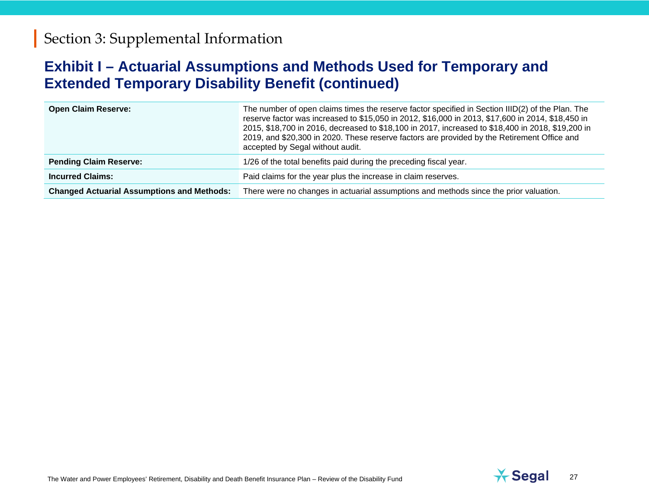### **Exhibit I – Actuarial Assumptions and Methods Used for Temporary and Extended Temporary Disability Benefit (continued)**

| <b>Open Claim Reserve:</b>                        | The number of open claims times the reserve factor specified in Section IIID(2) of the Plan. The<br>reserve factor was increased to \$15,050 in 2012, \$16,000 in 2013, \$17,600 in 2014, \$18,450 in<br>2015, \$18,700 in 2016, decreased to \$18,100 in 2017, increased to \$18,400 in 2018, \$19,200 in<br>2019, and \$20,300 in 2020. These reserve factors are provided by the Retirement Office and<br>accepted by Segal without audit. |
|---------------------------------------------------|-----------------------------------------------------------------------------------------------------------------------------------------------------------------------------------------------------------------------------------------------------------------------------------------------------------------------------------------------------------------------------------------------------------------------------------------------|
| <b>Pending Claim Reserve:</b>                     | 1/26 of the total benefits paid during the preceding fiscal year.                                                                                                                                                                                                                                                                                                                                                                             |
| <b>Incurred Claims:</b>                           | Paid claims for the year plus the increase in claim reserves.                                                                                                                                                                                                                                                                                                                                                                                 |
| <b>Changed Actuarial Assumptions and Methods:</b> | There were no changes in actuarial assumptions and methods since the prior valuation.                                                                                                                                                                                                                                                                                                                                                         |

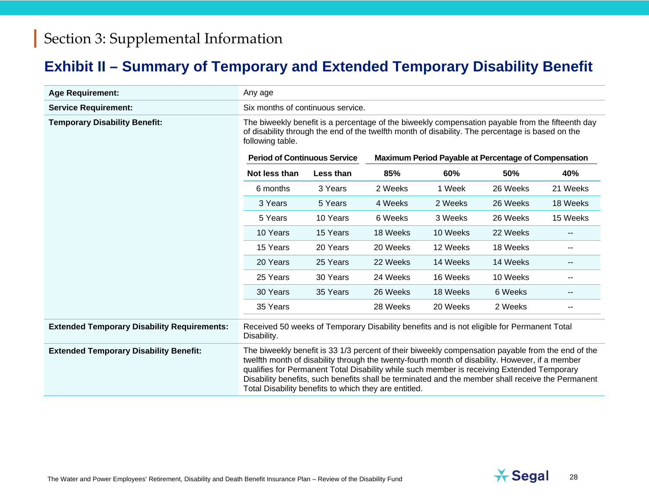# **Exhibit II – Summary of Temporary and Extended Temporary Disability Benefit**

| <b>Age Requirement:</b>                            | Any age                                                                                                                                                                                                                                                                                                                                                                                                                                                          |           |          |          |                                                             |                          |
|----------------------------------------------------|------------------------------------------------------------------------------------------------------------------------------------------------------------------------------------------------------------------------------------------------------------------------------------------------------------------------------------------------------------------------------------------------------------------------------------------------------------------|-----------|----------|----------|-------------------------------------------------------------|--------------------------|
| <b>Service Requirement:</b>                        | Six months of continuous service.                                                                                                                                                                                                                                                                                                                                                                                                                                |           |          |          |                                                             |                          |
| <b>Temporary Disability Benefit:</b>               | The biweekly benefit is a percentage of the biweekly compensation payable from the fifteenth day<br>of disability through the end of the twelfth month of disability. The percentage is based on the<br>following table.                                                                                                                                                                                                                                         |           |          |          |                                                             |                          |
|                                                    | <b>Period of Continuous Service</b>                                                                                                                                                                                                                                                                                                                                                                                                                              |           |          |          | <b>Maximum Period Payable at Percentage of Compensation</b> |                          |
|                                                    | Not less than                                                                                                                                                                                                                                                                                                                                                                                                                                                    | Less than | 85%      | 60%      | 50%                                                         | 40%                      |
|                                                    | 6 months                                                                                                                                                                                                                                                                                                                                                                                                                                                         | 3 Years   | 2 Weeks  | 1 Week   | 26 Weeks                                                    | 21 Weeks                 |
|                                                    | 3 Years                                                                                                                                                                                                                                                                                                                                                                                                                                                          | 5 Years   | 4 Weeks  | 2 Weeks  | 26 Weeks                                                    | 18 Weeks                 |
|                                                    | 5 Years                                                                                                                                                                                                                                                                                                                                                                                                                                                          | 10 Years  | 6 Weeks  | 3 Weeks  | 26 Weeks                                                    | 15 Weeks                 |
|                                                    | 10 Years                                                                                                                                                                                                                                                                                                                                                                                                                                                         | 15 Years  | 18 Weeks | 10 Weeks | 22 Weeks                                                    |                          |
|                                                    | 15 Years                                                                                                                                                                                                                                                                                                                                                                                                                                                         | 20 Years  | 20 Weeks | 12 Weeks | 18 Weeks                                                    | $\overline{\phantom{a}}$ |
|                                                    | 20 Years                                                                                                                                                                                                                                                                                                                                                                                                                                                         | 25 Years  | 22 Weeks | 14 Weeks | 14 Weeks                                                    | $\overline{\phantom{a}}$ |
|                                                    | 25 Years                                                                                                                                                                                                                                                                                                                                                                                                                                                         | 30 Years  | 24 Weeks | 16 Weeks | 10 Weeks                                                    | $\overline{\phantom{m}}$ |
|                                                    | 30 Years                                                                                                                                                                                                                                                                                                                                                                                                                                                         | 35 Years  | 26 Weeks | 18 Weeks | 6 Weeks                                                     | $\overline{\phantom{m}}$ |
|                                                    | 35 Years                                                                                                                                                                                                                                                                                                                                                                                                                                                         |           | 28 Weeks | 20 Weeks | 2 Weeks                                                     |                          |
| <b>Extended Temporary Disability Requirements:</b> | Received 50 weeks of Temporary Disability benefits and is not eligible for Permanent Total<br>Disability.                                                                                                                                                                                                                                                                                                                                                        |           |          |          |                                                             |                          |
| <b>Extended Temporary Disability Benefit:</b>      | The biweekly benefit is 33 1/3 percent of their biweekly compensation payable from the end of the<br>twelfth month of disability through the twenty-fourth month of disability. However, if a member<br>qualifies for Permanent Total Disability while such member is receiving Extended Temporary<br>Disability benefits, such benefits shall be terminated and the member shall receive the Permanent<br>Total Disability benefits to which they are entitled. |           |          |          |                                                             |                          |

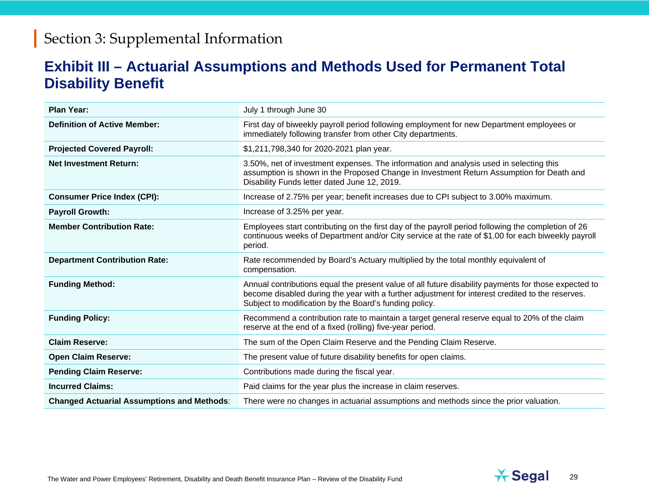### **Exhibit III – Actuarial Assumptions and Methods Used for Permanent Total Disability Benefit**

| <b>Plan Year:</b>                                 | July 1 through June 30                                                                                                                                                                                                                                             |
|---------------------------------------------------|--------------------------------------------------------------------------------------------------------------------------------------------------------------------------------------------------------------------------------------------------------------------|
| <b>Definition of Active Member:</b>               | First day of biweekly payroll period following employment for new Department employees or<br>immediately following transfer from other City departments.                                                                                                           |
| <b>Projected Covered Payroll:</b>                 | \$1,211,798,340 for 2020-2021 plan year.                                                                                                                                                                                                                           |
| <b>Net Investment Return:</b>                     | 3.50%, net of investment expenses. The information and analysis used in selecting this<br>assumption is shown in the Proposed Change in Investment Return Assumption for Death and<br>Disability Funds letter dated June 12, 2019.                                 |
| <b>Consumer Price Index (CPI):</b>                | Increase of 2.75% per year; benefit increases due to CPI subject to 3.00% maximum.                                                                                                                                                                                 |
| <b>Payroll Growth:</b>                            | Increase of 3.25% per year.                                                                                                                                                                                                                                        |
| <b>Member Contribution Rate:</b>                  | Employees start contributing on the first day of the payroll period following the completion of 26<br>continuous weeks of Department and/or City service at the rate of \$1.00 for each biweekly payroll<br>period.                                                |
| <b>Department Contribution Rate:</b>              | Rate recommended by Board's Actuary multiplied by the total monthly equivalent of<br>compensation.                                                                                                                                                                 |
| <b>Funding Method:</b>                            | Annual contributions equal the present value of all future disability payments for those expected to<br>become disabled during the year with a further adjustment for interest credited to the reserves.<br>Subject to modification by the Board's funding policy. |
| <b>Funding Policy:</b>                            | Recommend a contribution rate to maintain a target general reserve equal to 20% of the claim<br>reserve at the end of a fixed (rolling) five-year period.                                                                                                          |
| <b>Claim Reserve:</b>                             | The sum of the Open Claim Reserve and the Pending Claim Reserve.                                                                                                                                                                                                   |
| <b>Open Claim Reserve:</b>                        | The present value of future disability benefits for open claims.                                                                                                                                                                                                   |
| <b>Pending Claim Reserve:</b>                     | Contributions made during the fiscal year.                                                                                                                                                                                                                         |
| <b>Incurred Claims:</b>                           | Paid claims for the year plus the increase in claim reserves.                                                                                                                                                                                                      |
| <b>Changed Actuarial Assumptions and Methods:</b> | There were no changes in actuarial assumptions and methods since the prior valuation.                                                                                                                                                                              |

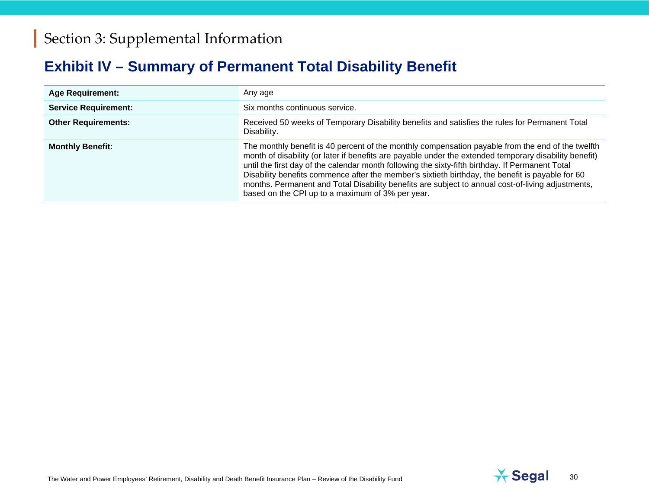# **Exhibit IV – Summary of Permanent Total Disability Benefit**

| <b>Age Requirement:</b>     | Any age                                                                                                                                                                                                                                                                                                                                                                                                                                                                                                                                                                      |
|-----------------------------|------------------------------------------------------------------------------------------------------------------------------------------------------------------------------------------------------------------------------------------------------------------------------------------------------------------------------------------------------------------------------------------------------------------------------------------------------------------------------------------------------------------------------------------------------------------------------|
| <b>Service Requirement:</b> | Six months continuous service.                                                                                                                                                                                                                                                                                                                                                                                                                                                                                                                                               |
| <b>Other Requirements:</b>  | Received 50 weeks of Temporary Disability benefits and satisfies the rules for Permanent Total<br>Disability.                                                                                                                                                                                                                                                                                                                                                                                                                                                                |
| <b>Monthly Benefit:</b>     | The monthly benefit is 40 percent of the monthly compensation payable from the end of the twelfth<br>month of disability (or later if benefits are payable under the extended temporary disability benefit)<br>until the first day of the calendar month following the sixty-fifth birthday. If Permanent Total<br>Disability benefits commence after the member's sixtieth birthday, the benefit is payable for 60<br>months. Permanent and Total Disability benefits are subject to annual cost-of-living adjustments,<br>based on the CPI up to a maximum of 3% per year. |

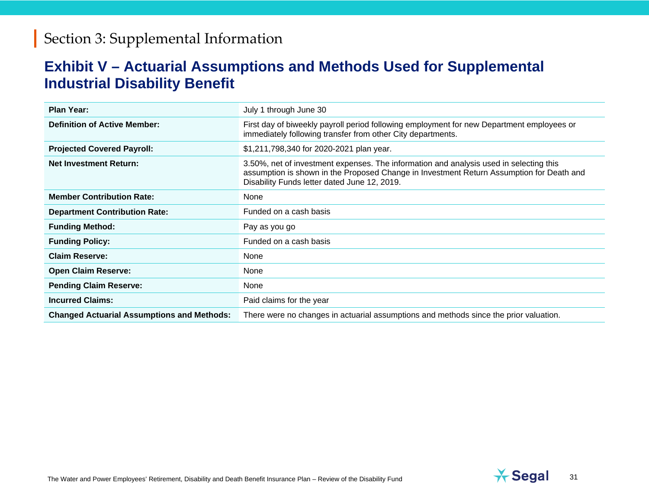### **Exhibit V – Actuarial Assumptions and Methods Used for Supplemental Industrial Disability Benefit**

| <b>Plan Year:</b>                                 | July 1 through June 30                                                                                                                                                                                                             |
|---------------------------------------------------|------------------------------------------------------------------------------------------------------------------------------------------------------------------------------------------------------------------------------------|
| <b>Definition of Active Member:</b>               | First day of biweekly payroll period following employment for new Department employees or<br>immediately following transfer from other City departments.                                                                           |
| <b>Projected Covered Payroll:</b>                 | \$1,211,798,340 for 2020-2021 plan year.                                                                                                                                                                                           |
| <b>Net Investment Return:</b>                     | 3.50%, net of investment expenses. The information and analysis used in selecting this<br>assumption is shown in the Proposed Change in Investment Return Assumption for Death and<br>Disability Funds letter dated June 12, 2019. |
| <b>Member Contribution Rate:</b>                  | None                                                                                                                                                                                                                               |
| <b>Department Contribution Rate:</b>              | Funded on a cash basis                                                                                                                                                                                                             |
| <b>Funding Method:</b>                            | Pay as you go                                                                                                                                                                                                                      |
| <b>Funding Policy:</b>                            | Funded on a cash basis                                                                                                                                                                                                             |
| <b>Claim Reserve:</b>                             | None                                                                                                                                                                                                                               |
| <b>Open Claim Reserve:</b>                        | None                                                                                                                                                                                                                               |
| <b>Pending Claim Reserve:</b>                     | None                                                                                                                                                                                                                               |
| <b>Incurred Claims:</b>                           | Paid claims for the year                                                                                                                                                                                                           |
| <b>Changed Actuarial Assumptions and Methods:</b> | There were no changes in actuarial assumptions and methods since the prior valuation.                                                                                                                                              |